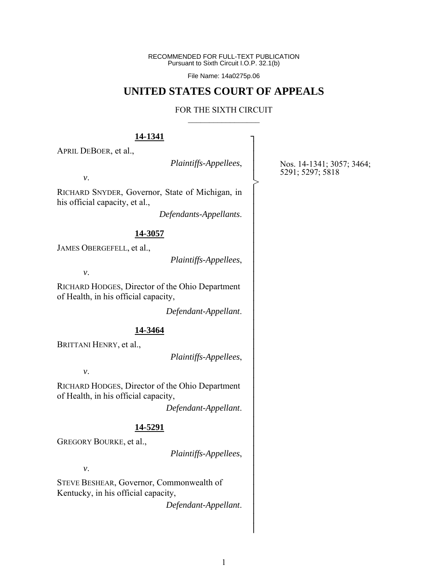RECOMMENDED FOR FULL-TEXT PUBLICATION Pursuant to Sixth Circuit I.O.P. 32.1(b)

File Name: 14a0275p.06

# **UNITED STATES COURT OF APPEALS**

### FOR THE SIXTH CIRCUIT  $\mathcal{L}_\text{max}$

┐ │ │ │ │ │ │ │ │ │ │ │ │ │ │ │ │ │ │ │ │ │ │ │ │ │ │ │ │ │ │ │ │ │ │ │ │ │ │ │ │

>

# **14-1341**

APRIL DEBOER, et al.,

*Plaintiffs-Appellees*,

*v*.

RICHARD SNYDER, Governor, State of Michigan, in his official capacity, et al.,

*Defendants-Appellants*.

# **14-3057**

JAMES OBERGEFELL, et al.,

*Plaintiffs-Appellees*,

*v*.

RICHARD HODGES, Director of the Ohio Department of Health, in his official capacity,

*Defendant-Appellant*.

# **14-3464**

BRITTANI HENRY, et al.,

*Plaintiffs-Appellees*,

*v*.

RICHARD HODGES, Director of the Ohio Department of Health, in his official capacity,

*Defendant-Appellant*.

# **14-5291**

GREGORY BOURKE, et al.,

*Plaintiffs-Appellees*,

*v*.

STEVE BESHEAR, Governor, Commonwealth of Kentucky, in his official capacity,

*Defendant-Appellant*.

Nos. 14-1341; 3057; 3464; 5291; 5297; 5818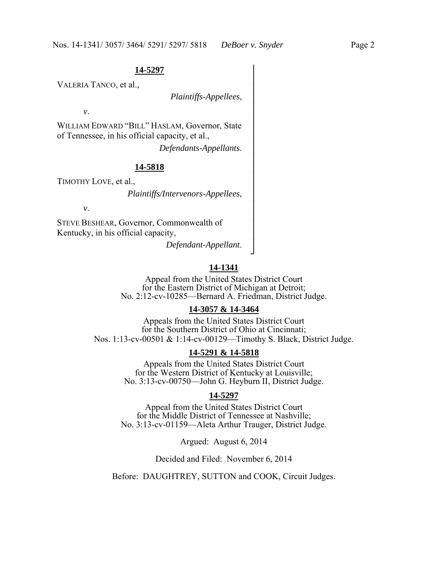### **14-5297**

VALERIA TANCO, et al.,

*Plaintiffs-Appellees*,

│ │ │ │ │ │ │ │ │ │ │ │ │ │ │ │ │ │ │ ┘

*v*.

WILLIAM EDWARD "BILL" HASLAM, Governor, State of Tennessee, in his official capacity, et al.,

*Defendants-Appellants*.

# **14-5818**

TIMOTHY LOVE, et al.,

*Plaintiffs/Intervenors-Appellees*,

*v*.

STEVE BESHEAR, Governor, Commonwealth of Kentucky, in his official capacity,

*Defendant-Appellant*.

# **14-1341**

Appeal from the United States District Court for the Eastern District of Michigan at Detroit; No. 2:12-cv-10285—Bernard A. Friedman, District Judge.

## **14-3057 & 14-3464**

Appeals from the United States District Court for the Southern District of Ohio at Cincinnati; Nos. 1:13-cv-00501 & 1:14-cv-00129—Timothy S. Black, District Judge.

### **14-5291 & 14-5818**

Appeals from the United States District Court for the Western District of Kentucky at Louisville; No. 3:13-cv-00750—John G. Heyburn II, District Judge.

# **14-5297**

Appeal from the United States District Court for the Middle District of Tennessee at Nashville; No. 3:13-cv-01159—Aleta Arthur Trauger, District Judge.

Argued: August 6, 2014

Decided and Filed: November 6, 2014

Before: DAUGHTREY, SUTTON and COOK, Circuit Judges.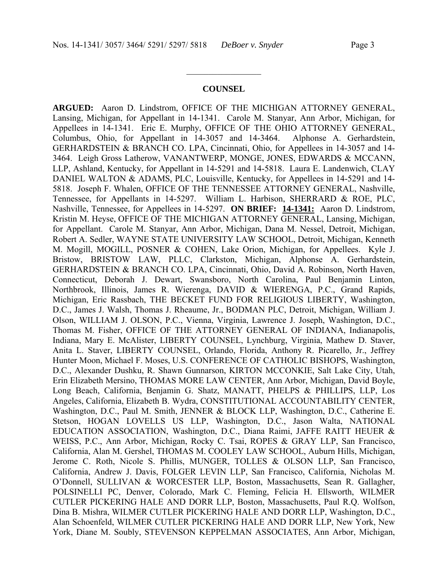### **COUNSEL**

 $\frac{1}{2}$  ,  $\frac{1}{2}$  ,  $\frac{1}{2}$  ,  $\frac{1}{2}$  ,  $\frac{1}{2}$  ,  $\frac{1}{2}$  ,  $\frac{1}{2}$  ,  $\frac{1}{2}$  ,  $\frac{1}{2}$ 

**ARGUED:** Aaron D. Lindstrom, OFFICE OF THE MICHIGAN ATTORNEY GENERAL, Lansing, Michigan, for Appellant in 14-1341. Carole M. Stanyar, Ann Arbor, Michigan, for Appellees in 14-1341. Eric E. Murphy, OFFICE OF THE OHIO ATTORNEY GENERAL, Columbus, Ohio, for Appellant in 14-3057 and 14-3464. Alphonse A. Gerhardstein, GERHARDSTEIN & BRANCH CO. LPA, Cincinnati, Ohio, for Appellees in 14-3057 and 14- 3464. Leigh Gross Latherow, VANANTWERP, MONGE, JONES, EDWARDS & MCCANN, LLP, Ashland, Kentucky, for Appellant in 14-5291 and 14-5818. Laura E. Landenwich, CLAY DANIEL WALTON & ADAMS, PLC, Louisville, Kentucky, for Appellees in 14-5291 and 14- 5818. Joseph F. Whalen, OFFICE OF THE TENNESSEE ATTORNEY GENERAL, Nashville, Tennessee, for Appellants in 14-5297. William L. Harbison, SHERRARD & ROE, PLC, Nashville, Tennessee, for Appellees in 14-5297. **ON BRIEF: 14-1341:** Aaron D. Lindstrom, Kristin M. Heyse, OFFICE OF THE MICHIGAN ATTORNEY GENERAL, Lansing, Michigan, for Appellant. Carole M. Stanyar, Ann Arbor, Michigan, Dana M. Nessel, Detroit, Michigan, Robert A. Sedler, WAYNE STATE UNIVERSITY LAW SCHOOL, Detroit, Michigan, Kenneth M. Mogill, MOGILL, POSNER & COHEN, Lake Orion, Michigan, for Appellees. Kyle J. Bristow, BRISTOW LAW, PLLC, Clarkston, Michigan, Alphonse A. Gerhardstein, GERHARDSTEIN & BRANCH CO. LPA, Cincinnati, Ohio, David A. Robinson, North Haven, Connecticut, Deborah J. Dewart, Swansboro, North Carolina, Paul Benjamin Linton, Northbrook, Illinois, James R. Wierenga, DAVID & WIERENGA, P.C., Grand Rapids, Michigan, Eric Rassbach, THE BECKET FUND FOR RELIGIOUS LIBERTY, Washington, D.C., James J. Walsh, Thomas J. Rheaume, Jr., BODMAN PLC, Detroit, Michigan, William J. Olson, WILLIAM J. OLSON, P.C., Vienna, Virginia, Lawrence J. Joseph, Washington, D.C., Thomas M. Fisher, OFFICE OF THE ATTORNEY GENERAL OF INDIANA, Indianapolis, Indiana, Mary E. McAlister, LIBERTY COUNSEL, Lynchburg, Virginia, Mathew D. Staver, Anita L. Staver, LIBERTY COUNSEL, Orlando, Florida, Anthony R. Picarello, Jr., Jeffrey Hunter Moon, Michael F. Moses, U.S. CONFERENCE OF CATHOLIC BISHOPS, Washington, D.C., Alexander Dushku, R. Shawn Gunnarson, KIRTON MCCONKIE, Salt Lake City, Utah, Erin Elizabeth Mersino, THOMAS MORE LAW CENTER, Ann Arbor, Michigan, David Boyle, Long Beach, California, Benjamin G. Shatz, MANATT, PHELPS & PHILLIPS, LLP, Los Angeles, California, Elizabeth B. Wydra, CONSTITUTIONAL ACCOUNTABILITY CENTER, Washington, D.C., Paul M. Smith, JENNER & BLOCK LLP, Washington, D.C., Catherine E. Stetson, HOGAN LOVELLS US LLP, Washington, D.C., Jason Walta, NATIONAL EDUCATION ASSOCIATION, Washington, D.C., Diana Raimi, JAFFE RAITT HEUER & WEISS, P.C., Ann Arbor, Michigan, Rocky C. Tsai, ROPES & GRAY LLP, San Francisco, California, Alan M. Gershel, THOMAS M. COOLEY LAW SCHOOL, Auburn Hills, Michigan, Jerome C. Roth, Nicole S. Phillis, MUNGER, TOLLES & OLSON LLP, San Francisco, California, Andrew J. Davis, FOLGER LEVIN LLP, San Francisco, California, Nicholas M. O'Donnell, SULLIVAN & WORCESTER LLP, Boston, Massachusetts, Sean R. Gallagher, POLSINELLI PC, Denver, Colorado, Mark C. Fleming, Felicia H. Ellsworth, WILMER CUTLER PICKERING HALE AND DORR LLP, Boston, Massachusetts, Paul R.Q. Wolfson, Dina B. Mishra, WILMER CUTLER PICKERING HALE AND DORR LLP, Washington, D.C., Alan Schoenfeld, WILMER CUTLER PICKERING HALE AND DORR LLP, New York, New York, Diane M. Soubly, STEVENSON KEPPELMAN ASSOCIATES, Ann Arbor, Michigan,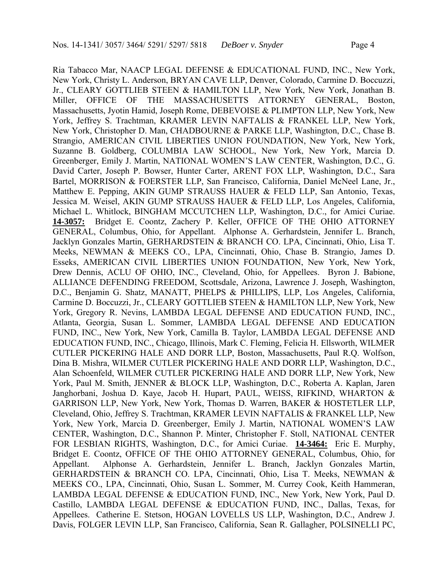Ria Tabacco Mar, NAACP LEGAL DEFENSE & EDUCATIONAL FUND, INC., New York, New York, Christy L. Anderson, BRYAN CAVE LLP, Denver, Colorado, Carmine D. Boccuzzi, Jr., CLEARY GOTTLIEB STEEN & HAMILTON LLP, New York, New York, Jonathan B. Miller, OFFICE OF THE MASSACHUSETTS ATTORNEY GENERAL, Boston, Massachusetts, Jyotin Hamid, Joseph Rome, DEBEVOISE & PLIMPTON LLP, New York, New York, Jeffrey S. Trachtman, KRAMER LEVIN NAFTALIS & FRANKEL LLP, New York, New York, Christopher D. Man, CHADBOURNE & PARKE LLP, Washington, D.C., Chase B. Strangio, AMERICAN CIVIL LIBERTIES UNION FOUNDATION, New York, New York, Suzanne B. Goldberg, COLUMBIA LAW SCHOOL, New York, New York, Marcia D. Greenberger, Emily J. Martin, NATIONAL WOMEN'S LAW CENTER, Washington, D.C., G. David Carter, Joseph P. Bowser, Hunter Carter, ARENT FOX LLP, Washington, D.C., Sara Bartel, MORRISON & FOERSTER LLP, San Francisco, California, Daniel McNeel Lane, Jr., Matthew E. Pepping, AKIN GUMP STRAUSS HAUER & FELD LLP, San Antonio, Texas, Jessica M. Weisel, AKIN GUMP STRAUSS HAUER & FELD LLP, Los Angeles, California, Michael L. Whitlock, BINGHAM MCCUTCHEN LLP, Washington, D.C., for Amici Curiae. **14-3057:** Bridget E. Coontz, Zachery P. Keller, OFFICE OF THE OHIO ATTORNEY GENERAL, Columbus, Ohio, for Appellant. Alphonse A. Gerhardstein, Jennifer L. Branch, Jacklyn Gonzales Martin, GERHARDSTEIN & BRANCH CO. LPA, Cincinnati, Ohio, Lisa T. Meeks, NEWMAN & MEEKS CO., LPA, Cincinnati, Ohio, Chase B. Strangio, James D. Esseks, AMERICAN CIVIL LIBERTIES UNION FOUNDATION, New York, New York, Drew Dennis, ACLU OF OHIO, INC., Cleveland, Ohio, for Appellees. Byron J. Babione, ALLIANCE DEFENDING FREEDOM, Scottsdale, Arizona, Lawrence J. Joseph, Washington, D.C., Benjamin G. Shatz, MANATT, PHELPS & PHILLIPS, LLP, Los Angeles, California, Carmine D. Boccuzzi, Jr., CLEARY GOTTLIEB STEEN & HAMILTON LLP, New York, New York, Gregory R. Nevins, LAMBDA LEGAL DEFENSE AND EDUCATION FUND, INC., Atlanta, Georgia, Susan L. Sommer, LAMBDA LEGAL DEFENSE AND EDUCATION FUND, INC., New York, New York, Camilla B. Taylor, LAMBDA LEGAL DEFENSE AND EDUCATION FUND, INC., Chicago, Illinois, Mark C. Fleming, Felicia H. Ellsworth, WILMER CUTLER PICKERING HALE AND DORR LLP, Boston, Massachusetts, Paul R.Q. Wolfson, Dina B. Mishra, WILMER CUTLER PICKERING HALE AND DORR LLP, Washington, D.C., Alan Schoenfeld, WILMER CUTLER PICKERING HALE AND DORR LLP, New York, New York, Paul M. Smith, JENNER & BLOCK LLP, Washington, D.C., Roberta A. Kaplan, Jaren Janghorbani, Joshua D. Kaye, Jacob H. Hupart, PAUL, WEISS, RIFKIND, WHARTON & GARRISON LLP, New York, New York, Thomas D. Warren, BAKER & HOSTETLER LLP, Cleveland, Ohio, Jeffrey S. Trachtman, KRAMER LEVIN NAFTALIS & FRANKEL LLP, New York, New York, Marcia D. Greenberger, Emily J. Martin, NATIONAL WOMEN'S LAW CENTER, Washington, D.C., Shannon P. Minter, Christopher F. Stoll, NATIONAL CENTER FOR LESBIAN RIGHTS, Washington, D.C., for Amici Curiae. **14-3464:** Eric E. Murphy, Bridget E. Coontz, OFFICE OF THE OHIO ATTORNEY GENERAL, Columbus, Ohio, for Appellant. Alphonse A. Gerhardstein, Jennifer L. Branch, Jacklyn Gonzales Martin, GERHARDSTEIN & BRANCH CO. LPA, Cincinnati, Ohio, Lisa T. Meeks, NEWMAN & MEEKS CO., LPA, Cincinnati, Ohio, Susan L. Sommer, M. Currey Cook, Keith Hammeran, LAMBDA LEGAL DEFENSE & EDUCATION FUND, INC., New York, New York, Paul D. Castillo, LAMBDA LEGAL DEFENSE & EDUCATION FUND, INC., Dallas, Texas, for Appellees. Catherine E. Stetson, HOGAN LOVELLS US LLP, Washington, D.C., Andrew J. Davis, FOLGER LEVIN LLP, San Francisco, California, Sean R. Gallagher, POLSINELLI PC,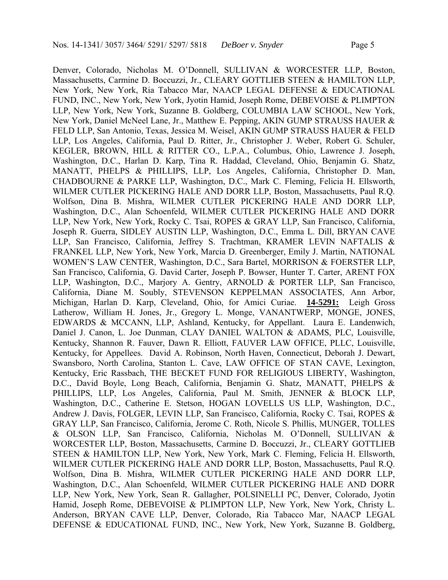Denver, Colorado, Nicholas M. O'Donnell, SULLIVAN & WORCESTER LLP, Boston, Massachusetts, Carmine D. Boccuzzi, Jr., CLEARY GOTTLIEB STEEN & HAMILTON LLP, New York, New York, Ria Tabacco Mar, NAACP LEGAL DEFENSE & EDUCATIONAL FUND, INC., New York, New York, Jyotin Hamid, Joseph Rome, DEBEVOISE & PLIMPTON LLP, New York, New York, Suzanne B. Goldberg, COLUMBIA LAW SCHOOL, New York, New York, Daniel McNeel Lane, Jr., Matthew E. Pepping, AKIN GUMP STRAUSS HAUER & FELD LLP, San Antonio, Texas, Jessica M. Weisel, AKIN GUMP STRAUSS HAUER & FELD LLP, Los Angeles, California, Paul D. Ritter, Jr., Christopher J. Weber, Robert G. Schuler, KEGLER, BROWN, HILL & RITTER CO., L.P.A., Columbus, Ohio, Lawrence J. Joseph, Washington, D.C., Harlan D. Karp, Tina R. Haddad, Cleveland, Ohio, Benjamin G. Shatz, MANATT, PHELPS & PHILLIPS, LLP, Los Angeles, California, Christopher D. Man, CHADBOURNE & PARKE LLP, Washington, D.C., Mark C. Fleming, Felicia H. Ellsworth, WILMER CUTLER PICKERING HALE AND DORR LLP, Boston, Massachusetts, Paul R.Q. Wolfson, Dina B. Mishra, WILMER CUTLER PICKERING HALE AND DORR LLP, Washington, D.C., Alan Schoenfeld, WILMER CUTLER PICKERING HALE AND DORR LLP, New York, New York, Rocky C. Tsai, ROPES & GRAY LLP, San Francisco, California, Joseph R. Guerra, SIDLEY AUSTIN LLP, Washington, D.C., Emma L. Dill, BRYAN CAVE LLP, San Francisco, California, Jeffrey S. Trachtman, KRAMER LEVIN NAFTALIS & FRANKEL LLP, New York, New York, Marcia D. Greenberger, Emily J. Martin, NATIONAL WOMEN'S LAW CENTER, Washington, D.C., Sara Bartel, MORRISON & FOERSTER LLP, San Francisco, California, G. David Carter, Joseph P. Bowser, Hunter T. Carter, ARENT FOX LLP, Washington, D.C., Marjory A. Gentry, ARNOLD & PORTER LLP, San Francisco, California, Diane M. Soubly, STEVENSON KEPPELMAN ASSOCIATES, Ann Arbor, Michigan, Harlan D. Karp, Cleveland, Ohio, for Amici Curiae. **14-5291:** Leigh Gross Latherow, William H. Jones, Jr., Gregory L. Monge, VANANTWERP, MONGE, JONES, EDWARDS & MCCANN, LLP, Ashland, Kentucky, for Appellant. Laura E. Landenwich, Daniel J. Canon, L. Joe Dunman, CLAY DANIEL WALTON & ADAMS, PLC, Louisville, Kentucky, Shannon R. Fauver, Dawn R. Elliott, FAUVER LAW OFFICE, PLLC, Louisville, Kentucky, for Appellees. David A. Robinson, North Haven, Connecticut, Deborah J. Dewart, Swansboro, North Carolina, Stanton L. Cave, LAW OFFICE OF STAN CAVE, Lexington, Kentucky, Eric Rassbach, THE BECKET FUND FOR RELIGIOUS LIBERTY, Washington, D.C., David Boyle, Long Beach, California, Benjamin G. Shatz, MANATT, PHELPS & PHILLIPS, LLP, Los Angeles, California, Paul M. Smith, JENNER & BLOCK LLP, Washington, D.C., Catherine E. Stetson, HOGAN LOVELLS US LLP, Washington, D.C., Andrew J. Davis, FOLGER, LEVIN LLP, San Francisco, California, Rocky C. Tsai, ROPES & GRAY LLP, San Francisco, California, Jerome C. Roth, Nicole S. Phillis, MUNGER, TOLLES & OLSON LLP, San Francisco, California, Nicholas M. O'Donnell, SULLIVAN & WORCESTER LLP, Boston, Massachusetts, Carmine D. Boccuzzi, Jr., CLEARY GOTTLIEB STEEN & HAMILTON LLP, New York, New York, Mark C. Fleming, Felicia H. Ellsworth, WILMER CUTLER PICKERING HALE AND DORR LLP, Boston, Massachusetts, Paul R.Q. Wolfson, Dina B. Mishra, WILMER CUTLER PICKERING HALE AND DORR LLP, Washington, D.C., Alan Schoenfeld, WILMER CUTLER PICKERING HALE AND DORR LLP, New York, New York, Sean R. Gallagher, POLSINELLI PC, Denver, Colorado, Jyotin Hamid, Joseph Rome, DEBEVOISE & PLIMPTON LLP, New York, New York, Christy L. Anderson, BRYAN CAVE LLP, Denver, Colorado, Ria Tabacco Mar, NAACP LEGAL DEFENSE & EDUCATIONAL FUND, INC., New York, New York, Suzanne B. Goldberg,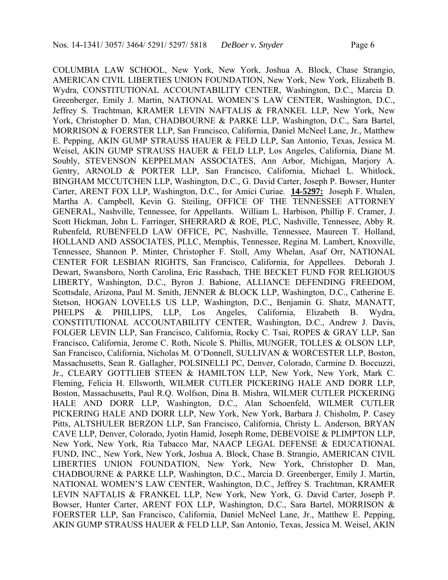COLUMBIA LAW SCHOOL, New York, New York, Joshua A. Block, Chase Strangio, AMERICAN CIVIL LIBERTIES UNION FOUNDATION, New York, New York, Elizabeth B. Wydra, CONSTITUTIONAL ACCOUNTABILITY CENTER, Washington, D.C., Marcia D. Greenberger, Emily J. Martin, NATIONAL WOMEN'S LAW CENTER, Washington, D.C., Jeffrey S. Trachtman, KRAMER LEVIN NAFTALIS & FRANKEL LLP, New York, New York, Christopher D. Man, CHADBOURNE & PARKE LLP, Washington, D.C., Sara Bartel, MORRISON & FOERSTER LLP, San Francisco, California, Daniel McNeel Lane, Jr., Matthew E. Pepping, AKIN GUMP STRAUSS HAUER & FELD LLP, San Antonio, Texas, Jessica M. Weisel, AKIN GUMP STRAUSS HAUER & FELD LLP, Los Angeles, California, Diane M. Soubly, STEVENSON KEPPELMAN ASSOCIATES, Ann Arbor, Michigan, Marjory A. Gentry, ARNOLD & PORTER LLP, San Francisco, California, Michael L. Whitlock, BINGHAM MCCUTCHEN LLP, Washington, D.C., G. David Carter, Joseph P. Bowser, Hunter Carter, ARENT FOX LLP, Washington, D.C., for Amici Curiae. **14-5297:** Joseph F. Whalen, Martha A. Campbell, Kevin G. Steiling, OFFICE OF THE TENNESSEE ATTORNEY GENERAL, Nashville, Tennessee, for Appellants. William L. Harbison, Phillip F. Cramer, J. Scott Hickman, John L. Farringer, SHERRARD & ROE, PLC, Nashville, Tennessee, Abby R. Rubenfeld, RUBENFELD LAW OFFICE, PC, Nashville, Tennessee, Maureen T. Holland, HOLLAND AND ASSOCIATES, PLLC, Memphis, Tennessee, Regina M. Lambert, Knoxville, Tennessee, Shannon P. Minter, Christopher F. Stoll, Amy Whelan, Asaf Orr, NATIONAL CENTER FOR LESBIAN RIGHTS, San Francisco, California, for Appellees. Deborah J. Dewart, Swansboro, North Carolina, Eric Rassbach, THE BECKET FUND FOR RELIGIOUS LIBERTY, Washington, D.C., Byron J. Babione, ALLIANCE DEFENDING FREEDOM, Scottsdale, Arizona, Paul M. Smith, JENNER & BLOCK LLP, Washington, D.C., Catherine E. Stetson, HOGAN LOVELLS US LLP, Washington, D.C., Benjamin G. Shatz, MANATT, PHELPS & PHILLIPS, LLP, Los Angeles, California, Elizabeth B. Wydra, CONSTITUTIONAL ACCOUNTABILITY CENTER, Washington, D.C., Andrew J. Davis, FOLGER LEVIN LLP, San Francisco, California, Rocky C. Tsai, ROPES & GRAY LLP, San Francisco, California, Jerome C. Roth, Nicole S. Phillis, MUNGER, TOLLES & OLSON LLP, San Francisco, California, Nicholas M. O'Donnell, SULLIVAN & WORCESTER LLP, Boston, Massachusetts, Sean R. Gallagher, POLSINELLI PC, Denver, Colorado, Carmine D. Boccuzzi, Jr., CLEARY GOTTLIEB STEEN & HAMILTON LLP, New York, New York, Mark C. Fleming, Felicia H. Ellsworth, WILMER CUTLER PICKERING HALE AND DORR LLP, Boston, Massachusetts, Paul R.Q. Wolfson, Dina B. Mishra, WILMER CUTLER PICKERING HALE AND DORR LLP, Washington, D.C., Alan Schoenfeld, WILMER CUTLER PICKERING HALE AND DORR LLP, New York, New York, Barbara J. Chisholm, P. Casey Pitts, ALTSHULER BERZON LLP, San Francisco, California, Christy L. Anderson, BRYAN CAVE LLP, Denver, Colorado, Jyotin Hamid, Joseph Rome, DEBEVOISE & PLIMPTON LLP, New York, New York, Ria Tabacco Mar, NAACP LEGAL DEFENSE & EDUCATIONAL FUND, INC., New York, New York, Joshua A. Block, Chase B. Strangio, AMERICAN CIVIL LIBERTIES UNION FOUNDATION, New York, New York, Christopher D. Man, CHADBOURNE & PARKE LLP, Washington, D.C., Marcia D. Greenberger, Emily J. Martin, NATIONAL WOMEN'S LAW CENTER, Washington, D.C., Jeffrey S. Trachtman, KRAMER LEVIN NAFTALIS & FRANKEL LLP, New York, New York, G. David Carter, Joseph P. Bowser, Hunter Carter, ARENT FOX LLP, Washington, D.C., Sara Bartel, MORRISON & FOERSTER LLP, San Francisco, California, Daniel McNeel Lane, Jr., Matthew E. Pepping, AKIN GUMP STRAUSS HAUER & FELD LLP, San Antonio, Texas, Jessica M. Weisel, AKIN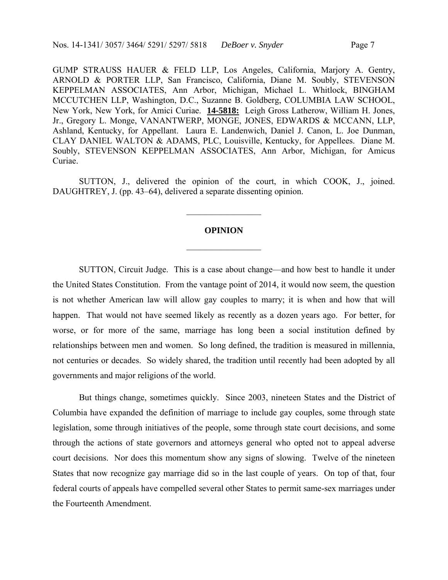GUMP STRAUSS HAUER & FELD LLP, Los Angeles, California, Marjory A. Gentry, ARNOLD & PORTER LLP, San Francisco, California, Diane M. Soubly, STEVENSON KEPPELMAN ASSOCIATES, Ann Arbor, Michigan, Michael L. Whitlock, BINGHAM MCCUTCHEN LLP, Washington, D.C., Suzanne B. Goldberg, COLUMBIA LAW SCHOOL, New York, New York, for Amici Curiae. **14-5818:** Leigh Gross Latherow, William H. Jones, Jr., Gregory L. Monge, VANANTWERP, MONGE, JONES, EDWARDS & MCCANN, LLP, Ashland, Kentucky, for Appellant. Laura E. Landenwich, Daniel J. Canon, L. Joe Dunman, CLAY DANIEL WALTON & ADAMS, PLC, Louisville, Kentucky, for Appellees. Diane M. Soubly, STEVENSON KEPPELMAN ASSOCIATES, Ann Arbor, Michigan, for Amicus Curiae.

 SUTTON, J., delivered the opinion of the court, in which COOK, J., joined. DAUGHTREY, J. (pp. 43–64), delivered a separate dissenting opinion.

#### **OPINION**

 $\mathcal{L}_\text{max}$ 

 $\frac{1}{2}$ 

SUTTON, Circuit Judge. This is a case about change—and how best to handle it under the United States Constitution. From the vantage point of 2014, it would now seem, the question is not whether American law will allow gay couples to marry; it is when and how that will happen. That would not have seemed likely as recently as a dozen years ago. For better, for worse, or for more of the same, marriage has long been a social institution defined by relationships between men and women. So long defined, the tradition is measured in millennia, not centuries or decades. So widely shared, the tradition until recently had been adopted by all governments and major religions of the world.

But things change, sometimes quickly. Since 2003, nineteen States and the District of Columbia have expanded the definition of marriage to include gay couples, some through state legislation, some through initiatives of the people, some through state court decisions, and some through the actions of state governors and attorneys general who opted not to appeal adverse court decisions. Nor does this momentum show any signs of slowing. Twelve of the nineteen States that now recognize gay marriage did so in the last couple of years. On top of that, four federal courts of appeals have compelled several other States to permit same-sex marriages under the Fourteenth Amendment.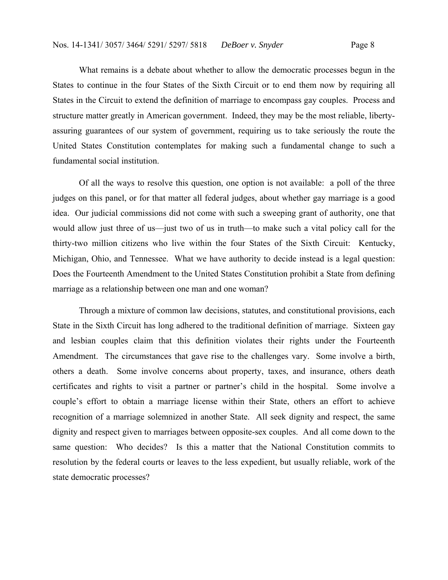What remains is a debate about whether to allow the democratic processes begun in the States to continue in the four States of the Sixth Circuit or to end them now by requiring all States in the Circuit to extend the definition of marriage to encompass gay couples. Process and structure matter greatly in American government. Indeed, they may be the most reliable, libertyassuring guarantees of our system of government, requiring us to take seriously the route the United States Constitution contemplates for making such a fundamental change to such a fundamental social institution.

Of all the ways to resolve this question, one option is not available: a poll of the three judges on this panel, or for that matter all federal judges, about whether gay marriage is a good idea. Our judicial commissions did not come with such a sweeping grant of authority, one that would allow just three of us—just two of us in truth—to make such a vital policy call for the thirty-two million citizens who live within the four States of the Sixth Circuit: Kentucky, Michigan, Ohio, and Tennessee. What we have authority to decide instead is a legal question: Does the Fourteenth Amendment to the United States Constitution prohibit a State from defining marriage as a relationship between one man and one woman?

Through a mixture of common law decisions, statutes, and constitutional provisions, each State in the Sixth Circuit has long adhered to the traditional definition of marriage. Sixteen gay and lesbian couples claim that this definition violates their rights under the Fourteenth Amendment. The circumstances that gave rise to the challenges vary. Some involve a birth, others a death. Some involve concerns about property, taxes, and insurance, others death certificates and rights to visit a partner or partner's child in the hospital. Some involve a couple's effort to obtain a marriage license within their State, others an effort to achieve recognition of a marriage solemnized in another State. All seek dignity and respect, the same dignity and respect given to marriages between opposite-sex couples. And all come down to the same question: Who decides? Is this a matter that the National Constitution commits to resolution by the federal courts or leaves to the less expedient, but usually reliable, work of the state democratic processes?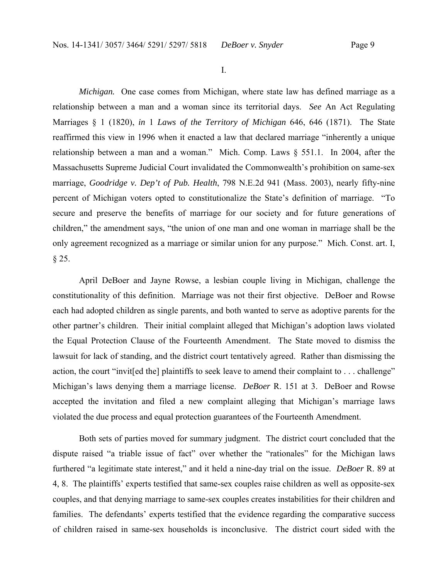I.

*Michigan.* One case comes from Michigan, where state law has defined marriage as a relationship between a man and a woman since its territorial days. *See* An Act Regulating Marriages § 1 (1820), *in* 1 *Laws of the Territory of Michigan* 646, 646 (1871). The State reaffirmed this view in 1996 when it enacted a law that declared marriage "inherently a unique relationship between a man and a woman." Mich. Comp. Laws § 551.1. In 2004, after the Massachusetts Supreme Judicial Court invalidated the Commonwealth's prohibition on same-sex marriage, *Goodridge v. Dep't of Pub. Health*, 798 N.E.2d 941 (Mass. 2003), nearly fifty-nine percent of Michigan voters opted to constitutionalize the State's definition of marriage. "To secure and preserve the benefits of marriage for our society and for future generations of children," the amendment says, "the union of one man and one woman in marriage shall be the only agreement recognized as a marriage or similar union for any purpose." Mich. Const. art. I,  $§$  25.

April DeBoer and Jayne Rowse, a lesbian couple living in Michigan, challenge the constitutionality of this definition. Marriage was not their first objective. DeBoer and Rowse each had adopted children as single parents, and both wanted to serve as adoptive parents for the other partner's children. Their initial complaint alleged that Michigan's adoption laws violated the Equal Protection Clause of the Fourteenth Amendment. The State moved to dismiss the lawsuit for lack of standing, and the district court tentatively agreed. Rather than dismissing the action, the court "invit[ed the] plaintiffs to seek leave to amend their complaint to . . . challenge" Michigan's laws denying them a marriage license. *DeBoer* R. 151 at 3. DeBoer and Rowse accepted the invitation and filed a new complaint alleging that Michigan's marriage laws violated the due process and equal protection guarantees of the Fourteenth Amendment.

Both sets of parties moved for summary judgment. The district court concluded that the dispute raised "a triable issue of fact" over whether the "rationales" for the Michigan laws furthered "a legitimate state interest," and it held a nine-day trial on the issue. *DeBoer* R. 89 at 4, 8. The plaintiffs' experts testified that same-sex couples raise children as well as opposite-sex couples, and that denying marriage to same-sex couples creates instabilities for their children and families. The defendants' experts testified that the evidence regarding the comparative success of children raised in same-sex households is inconclusive. The district court sided with the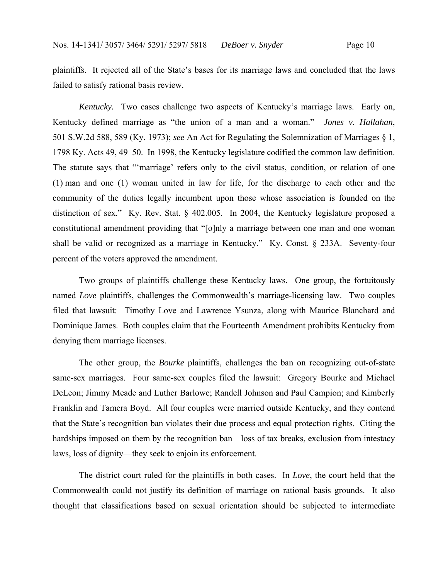plaintiffs. It rejected all of the State's bases for its marriage laws and concluded that the laws failed to satisfy rational basis review.

*Kentucky.* Two cases challenge two aspects of Kentucky's marriage laws. Early on, Kentucky defined marriage as "the union of a man and a woman." *Jones v. Hallahan*, 501 S.W.2d 588, 589 (Ky. 1973); *see* An Act for Regulating the Solemnization of Marriages § 1, 1798 Ky. Acts 49, 49–50. In 1998, the Kentucky legislature codified the common law definition. The statute says that "'marriage' refers only to the civil status, condition, or relation of one (1) man and one (1) woman united in law for life, for the discharge to each other and the community of the duties legally incumbent upon those whose association is founded on the distinction of sex." Ky. Rev. Stat. § 402.005. In 2004, the Kentucky legislature proposed a constitutional amendment providing that "[o]nly a marriage between one man and one woman shall be valid or recognized as a marriage in Kentucky." Ky. Const. § 233A. Seventy-four percent of the voters approved the amendment.

Two groups of plaintiffs challenge these Kentucky laws. One group, the fortuitously named *Love* plaintiffs, challenges the Commonwealth's marriage-licensing law. Two couples filed that lawsuit: Timothy Love and Lawrence Ysunza, along with Maurice Blanchard and Dominique James. Both couples claim that the Fourteenth Amendment prohibits Kentucky from denying them marriage licenses.

The other group, the *Bourke* plaintiffs, challenges the ban on recognizing out-of-state same-sex marriages. Four same-sex couples filed the lawsuit: Gregory Bourke and Michael DeLeon; Jimmy Meade and Luther Barlowe; Randell Johnson and Paul Campion; and Kimberly Franklin and Tamera Boyd. All four couples were married outside Kentucky, and they contend that the State's recognition ban violates their due process and equal protection rights. Citing the hardships imposed on them by the recognition ban—loss of tax breaks, exclusion from intestacy laws, loss of dignity—they seek to enjoin its enforcement.

The district court ruled for the plaintiffs in both cases. In *Love*, the court held that the Commonwealth could not justify its definition of marriage on rational basis grounds. It also thought that classifications based on sexual orientation should be subjected to intermediate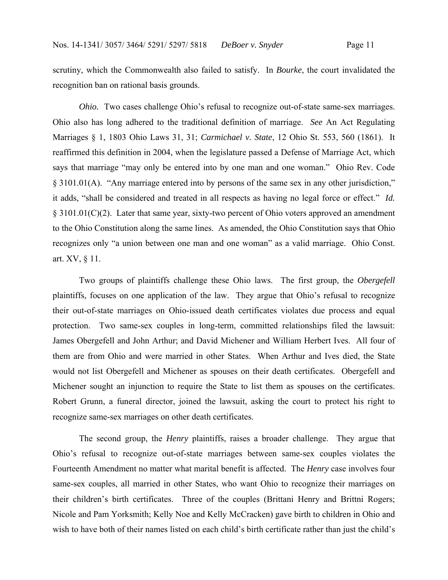scrutiny, which the Commonwealth also failed to satisfy. In *Bourke*, the court invalidated the recognition ban on rational basis grounds.

*Ohio.* Two cases challenge Ohio's refusal to recognize out-of-state same-sex marriages. Ohio also has long adhered to the traditional definition of marriage. *See* An Act Regulating Marriages § 1, 1803 Ohio Laws 31, 31; *Carmichael v. State*, 12 Ohio St. 553, 560 (1861). It reaffirmed this definition in 2004, when the legislature passed a Defense of Marriage Act, which says that marriage "may only be entered into by one man and one woman." Ohio Rev. Code § 3101.01(A). "Any marriage entered into by persons of the same sex in any other jurisdiction," it adds, "shall be considered and treated in all respects as having no legal force or effect." *Id.* § 3101.01(C)(2). Later that same year, sixty-two percent of Ohio voters approved an amendment to the Ohio Constitution along the same lines. As amended, the Ohio Constitution says that Ohio recognizes only "a union between one man and one woman" as a valid marriage. Ohio Const. art. XV, § 11.

Two groups of plaintiffs challenge these Ohio laws. The first group, the *Obergefell* plaintiffs, focuses on one application of the law. They argue that Ohio's refusal to recognize their out-of-state marriages on Ohio-issued death certificates violates due process and equal protection. Two same-sex couples in long-term, committed relationships filed the lawsuit: James Obergefell and John Arthur; and David Michener and William Herbert Ives. All four of them are from Ohio and were married in other States. When Arthur and Ives died, the State would not list Obergefell and Michener as spouses on their death certificates. Obergefell and Michener sought an injunction to require the State to list them as spouses on the certificates. Robert Grunn, a funeral director, joined the lawsuit, asking the court to protect his right to recognize same-sex marriages on other death certificates.

The second group, the *Henry* plaintiffs, raises a broader challenge. They argue that Ohio's refusal to recognize out-of-state marriages between same-sex couples violates the Fourteenth Amendment no matter what marital benefit is affected. The *Henry* case involves four same-sex couples, all married in other States, who want Ohio to recognize their marriages on their children's birth certificates. Three of the couples (Brittani Henry and Brittni Rogers; Nicole and Pam Yorksmith; Kelly Noe and Kelly McCracken) gave birth to children in Ohio and wish to have both of their names listed on each child's birth certificate rather than just the child's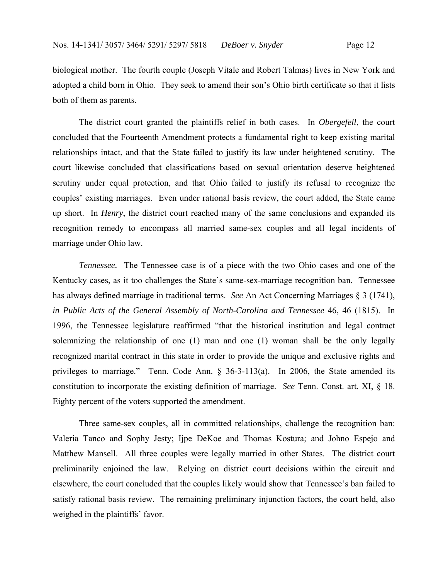biological mother. The fourth couple (Joseph Vitale and Robert Talmas) lives in New York and adopted a child born in Ohio. They seek to amend their son's Ohio birth certificate so that it lists both of them as parents.

The district court granted the plaintiffs relief in both cases. In *Obergefell*, the court concluded that the Fourteenth Amendment protects a fundamental right to keep existing marital relationships intact, and that the State failed to justify its law under heightened scrutiny. The court likewise concluded that classifications based on sexual orientation deserve heightened scrutiny under equal protection, and that Ohio failed to justify its refusal to recognize the couples' existing marriages. Even under rational basis review, the court added, the State came up short. In *Henry*, the district court reached many of the same conclusions and expanded its recognition remedy to encompass all married same-sex couples and all legal incidents of marriage under Ohio law.

*Tennessee.* The Tennessee case is of a piece with the two Ohio cases and one of the Kentucky cases, as it too challenges the State's same-sex-marriage recognition ban. Tennessee has always defined marriage in traditional terms. *See* An Act Concerning Marriages § 3 (1741), *in Public Acts of the General Assembly of North-Carolina and Tennessee* 46, 46 (1815).In 1996, the Tennessee legislature reaffirmed "that the historical institution and legal contract solemnizing the relationship of one (1) man and one (1) woman shall be the only legally recognized marital contract in this state in order to provide the unique and exclusive rights and privileges to marriage." Tenn. Code Ann. § 36-3-113(a). In 2006, the State amended its constitution to incorporate the existing definition of marriage. *See* Tenn. Const. art. XI, § 18. Eighty percent of the voters supported the amendment.

Three same-sex couples, all in committed relationships, challenge the recognition ban: Valeria Tanco and Sophy Jesty; Ijpe DeKoe and Thomas Kostura; and Johno Espejo and Matthew Mansell. All three couples were legally married in other States. The district court preliminarily enjoined the law. Relying on district court decisions within the circuit and elsewhere, the court concluded that the couples likely would show that Tennessee's ban failed to satisfy rational basis review. The remaining preliminary injunction factors, the court held, also weighed in the plaintiffs' favor.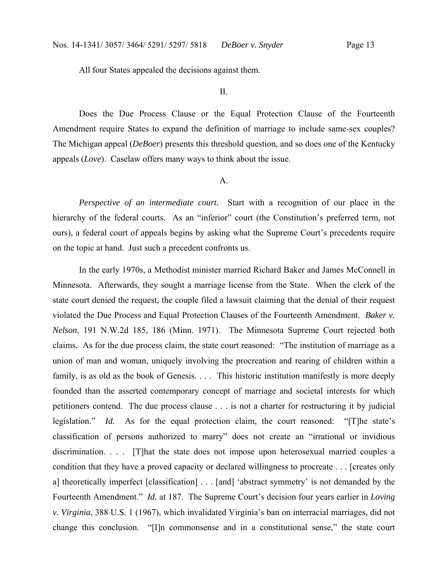All four States appealed the decisions against them.

II.

Does the Due Process Clause or the Equal Protection Clause of the Fourteenth Amendment require States to expand the definition of marriage to include same-sex couples? The Michigan appeal (*DeBoer*) presents this threshold question, and so does one of the Kentucky appeals (*Love*). Caselaw offers many ways to think about the issue.

#### $A<sub>1</sub>$

*Perspective of an intermediate court.* Start with a recognition of our place in the hierarchy of the federal courts. As an "inferior" court (the Constitution's preferred term, not ours), a federal court of appeals begins by asking what the Supreme Court's precedents require on the topic at hand. Just such a precedent confronts us.

In the early 1970s, a Methodist minister married Richard Baker and James McConnell in Minnesota. Afterwards, they sought a marriage license from the State. When the clerk of the state court denied the request, the couple filed a lawsuit claiming that the denial of their request violated the Due Process and Equal Protection Clauses of the Fourteenth Amendment. *Baker v. Nelson*, 191 N.W.2d 185, 186 (Minn. 1971). The Minnesota Supreme Court rejected both claims. As for the due process claim, the state court reasoned: "The institution of marriage as a union of man and woman, uniquely involving the procreation and rearing of children within a family, is as old as the book of Genesis. . . . This historic institution manifestly is more deeply founded than the asserted contemporary concept of marriage and societal interests for which petitioners contend. The due process clause . . . is not a charter for restructuring it by judicial legislation." *Id.* As for the equal protection claim, the court reasoned: "[T]he state's classification of persons authorized to marry" does not create an "irrational or invidious discrimination. . . . [T]hat the state does not impose upon heterosexual married couples a condition that they have a proved capacity or declared willingness to procreate . . . [creates only a] theoretically imperfect [classification] . . . [and] 'abstract symmetry' is not demanded by the Fourteenth Amendment." *Id.* at 187. The Supreme Court's decision four years earlier in *Loving v. Virginia*, 388 U.S. 1 (1967), which invalidated Virginia's ban on interracial marriages, did not change this conclusion. "[I]n commonsense and in a constitutional sense," the state court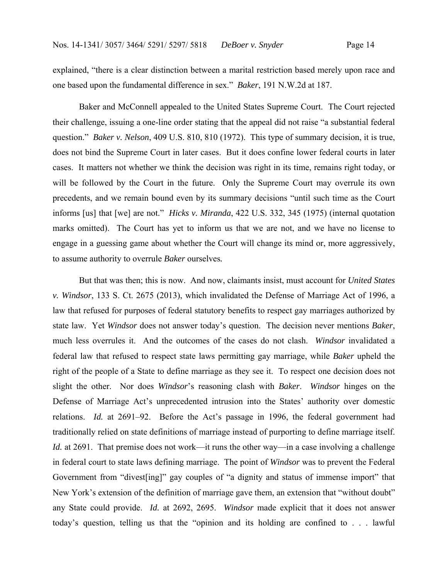explained, "there is a clear distinction between a marital restriction based merely upon race and one based upon the fundamental difference in sex." *Baker*, 191 N.W.2d at 187.

Baker and McConnell appealed to the United States Supreme Court. The Court rejected their challenge, issuing a one-line order stating that the appeal did not raise "a substantial federal question." *Baker v. Nelson*, 409 U.S. 810, 810 (1972). This type of summary decision, it is true, does not bind the Supreme Court in later cases. But it does confine lower federal courts in later cases. It matters not whether we think the decision was right in its time, remains right today, or will be followed by the Court in the future. Only the Supreme Court may overrule its own precedents, and we remain bound even by its summary decisions "until such time as the Court informs [us] that [we] are not." *Hicks v. Miranda*, 422 U.S. 332, 345 (1975) (internal quotation marks omitted). The Court has yet to inform us that we are not, and we have no license to engage in a guessing game about whether the Court will change its mind or, more aggressively, to assume authority to overrule *Baker* ourselves*.*

But that was then; this is now. And now, claimants insist, must account for *United States v. Windsor*, 133 S. Ct. 2675 (2013), which invalidated the Defense of Marriage Act of 1996, a law that refused for purposes of federal statutory benefits to respect gay marriages authorized by state law. Yet *Windsor* does not answer today's question. The decision never mentions *Baker*, much less overrules it. And the outcomes of the cases do not clash. *Windsor* invalidated a federal law that refused to respect state laws permitting gay marriage, while *Baker* upheld the right of the people of a State to define marriage as they see it. To respect one decision does not slight the other. Nor does *Windsor*'s reasoning clash with *Baker*. *Windsor* hinges on the Defense of Marriage Act's unprecedented intrusion into the States' authority over domestic relations. *Id.* at 2691–92. Before the Act's passage in 1996, the federal government had traditionally relied on state definitions of marriage instead of purporting to define marriage itself. *Id.* at 2691. That premise does not work—it runs the other way—in a case involving a challenge in federal court to state laws defining marriage. The point of *Windsor* was to prevent the Federal Government from "divest[ing]" gay couples of "a dignity and status of immense import" that New York's extension of the definition of marriage gave them, an extension that "without doubt" any State could provide. *Id.* at 2692, 2695. *Windsor* made explicit that it does not answer today's question, telling us that the "opinion and its holding are confined to . . . lawful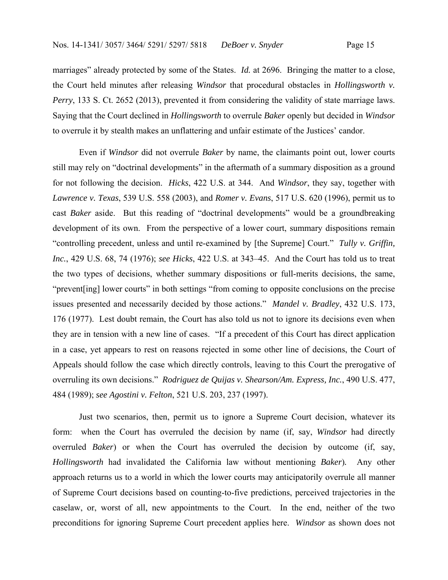marriages" already protected by some of the States. *Id.* at 2696. Bringing the matter to a close, the Court held minutes after releasing *Windsor* that procedural obstacles in *Hollingsworth v. Perry*, 133 S. Ct. 2652 (2013), prevented it from considering the validity of state marriage laws. Saying that the Court declined in *Hollingsworth* to overrule *Baker* openly but decided in *Windsor* to overrule it by stealth makes an unflattering and unfair estimate of the Justices' candor.

Even if *Windsor* did not overrule *Baker* by name, the claimants point out, lower courts still may rely on "doctrinal developments" in the aftermath of a summary disposition as a ground for not following the decision. *Hicks*, 422 U.S. at 344. And *Windsor*, they say, together with *Lawrence v. Texas*, 539 U.S. 558 (2003), and *Romer v. Evans*, 517 U.S. 620 (1996), permit us to cast *Baker* aside. But this reading of "doctrinal developments" would be a groundbreaking development of its own. From the perspective of a lower court, summary dispositions remain "controlling precedent, unless and until re-examined by [the Supreme] Court." *Tully v. Griffin, Inc.*, 429 U.S. 68, 74 (1976); *see Hicks*, 422 U.S. at 343–45. And the Court has told us to treat the two types of decisions, whether summary dispositions or full-merits decisions, the same, "prevent[ing] lower courts" in both settings "from coming to opposite conclusions on the precise issues presented and necessarily decided by those actions." *Mandel v. Bradley*, 432 U.S. 173, 176 (1977). Lest doubt remain, the Court has also told us not to ignore its decisions even when they are in tension with a new line of cases. "If a precedent of this Court has direct application in a case, yet appears to rest on reasons rejected in some other line of decisions, the Court of Appeals should follow the case which directly controls, leaving to this Court the prerogative of overruling its own decisions." *Rodriguez de Quijas v. Shearson/Am. Express, Inc.*, 490 U.S. 477, 484 (1989); *see Agostini v. Felton*, 521 U.S. 203, 237 (1997).

Just two scenarios, then, permit us to ignore a Supreme Court decision, whatever its form: when the Court has overruled the decision by name (if, say, *Windsor* had directly overruled *Baker*) or when the Court has overruled the decision by outcome (if, say, *Hollingsworth* had invalidated the California law without mentioning *Baker*)*.* Any other approach returns us to a world in which the lower courts may anticipatorily overrule all manner of Supreme Court decisions based on counting-to-five predictions, perceived trajectories in the caselaw, or, worst of all, new appointments to the Court. In the end, neither of the two preconditions for ignoring Supreme Court precedent applies here. *Windsor* as shown does not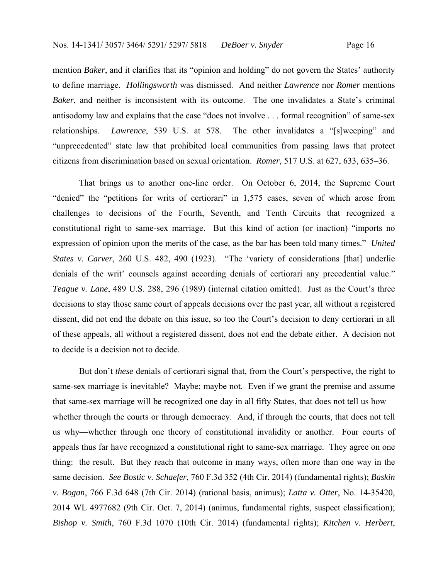mention *Baker*, and it clarifies that its "opinion and holding" do not govern the States' authority to define marriage. *Hollingsworth* was dismissed. And neither *Lawrence* nor *Romer* mentions *Baker*, and neither is inconsistent with its outcome. The one invalidates a State's criminal antisodomy law and explains that the case "does not involve . . . formal recognition" of same-sex relationships. *Lawrence*, 539 U.S. at 578. The other invalidates a "[s]weeping" and "unprecedented" state law that prohibited local communities from passing laws that protect citizens from discrimination based on sexual orientation. *Romer*, 517 U.S. at 627, 633, 635–36.

That brings us to another one-line order. On October 6, 2014, the Supreme Court "denied" the "petitions for writs of certiorari" in 1,575 cases, seven of which arose from challenges to decisions of the Fourth, Seventh, and Tenth Circuits that recognized a constitutional right to same-sex marriage. But this kind of action (or inaction) "imports no expression of opinion upon the merits of the case, as the bar has been told many times." *United States v. Carver*, 260 U.S. 482, 490 (1923). "The 'variety of considerations [that] underlie denials of the writ' counsels against according denials of certiorari any precedential value." *Teague v. Lane*, 489 U.S. 288, 296 (1989) (internal citation omitted). Just as the Court's three decisions to stay those same court of appeals decisions over the past year, all without a registered dissent, did not end the debate on this issue, so too the Court's decision to deny certiorari in all of these appeals, all without a registered dissent, does not end the debate either. A decision not to decide is a decision not to decide.

But don't *these* denials of certiorari signal that, from the Court's perspective, the right to same-sex marriage is inevitable? Maybe; maybe not. Even if we grant the premise and assume that same-sex marriage will be recognized one day in all fifty States, that does not tell us how whether through the courts or through democracy. And, if through the courts, that does not tell us why—whether through one theory of constitutional invalidity or another. Four courts of appeals thus far have recognized a constitutional right to same-sex marriage. They agree on one thing: the result. But they reach that outcome in many ways, often more than one way in the same decision. *See Bostic v. Schaefer*, 760 F.3d 352 (4th Cir. 2014) (fundamental rights); *Baskin v. Bogan*, 766 F.3d 648 (7th Cir. 2014) (rational basis, animus); *Latta v. Otter*, No. 14-35420, 2014 WL 4977682 (9th Cir. Oct. 7, 2014) (animus, fundamental rights, suspect classification); *Bishop v. Smith*, 760 F.3d 1070 (10th Cir. 2014) (fundamental rights); *Kitchen v. Herbert*,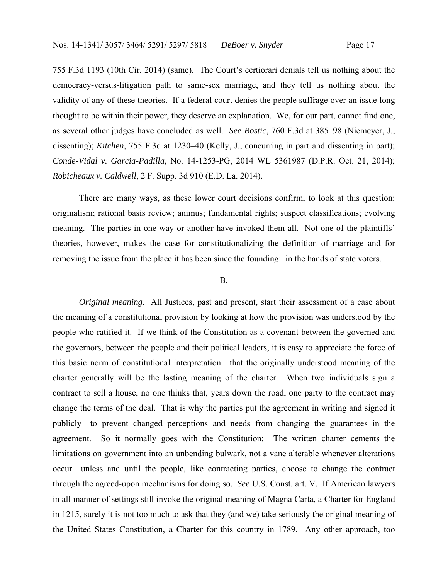755 F.3d 1193 (10th Cir. 2014) (same). The Court's certiorari denials tell us nothing about the democracy-versus-litigation path to same-sex marriage, and they tell us nothing about the validity of any of these theories. If a federal court denies the people suffrage over an issue long thought to be within their power, they deserve an explanation. We, for our part, cannot find one, as several other judges have concluded as well. *See Bostic*, 760 F.3d at 385–98 (Niemeyer, J., dissenting); *Kitchen*, 755 F.3d at 1230–40 (Kelly, J., concurring in part and dissenting in part); *Conde-Vidal v. Garcia-Padilla*, No. 14-1253-PG, 2014 WL 5361987 (D.P.R. Oct. 21, 2014); *Robicheaux v. Caldwell*, 2 F. Supp. 3d 910 (E.D. La. 2014).

There are many ways, as these lower court decisions confirm, to look at this question: originalism; rational basis review; animus; fundamental rights; suspect classifications; evolving meaning. The parties in one way or another have invoked them all. Not one of the plaintiffs' theories, however, makes the case for constitutionalizing the definition of marriage and for removing the issue from the place it has been since the founding: in the hands of state voters.

#### B.

*Original meaning.* All Justices, past and present, start their assessment of a case about the meaning of a constitutional provision by looking at how the provision was understood by the people who ratified it. If we think of the Constitution as a covenant between the governed and the governors, between the people and their political leaders, it is easy to appreciate the force of this basic norm of constitutional interpretation—that the originally understood meaning of the charter generally will be the lasting meaning of the charter. When two individuals sign a contract to sell a house, no one thinks that, years down the road, one party to the contract may change the terms of the deal. That is why the parties put the agreement in writing and signed it publicly—to prevent changed perceptions and needs from changing the guarantees in the agreement. So it normally goes with the Constitution: The written charter cements the limitations on government into an unbending bulwark, not a vane alterable whenever alterations occur—unless and until the people, like contracting parties, choose to change the contract through the agreed-upon mechanisms for doing so. *See* U.S. Const. art. V. If American lawyers in all manner of settings still invoke the original meaning of Magna Carta, a Charter for England in 1215, surely it is not too much to ask that they (and we) take seriously the original meaning of the United States Constitution, a Charter for this country in 1789.Any other approach, too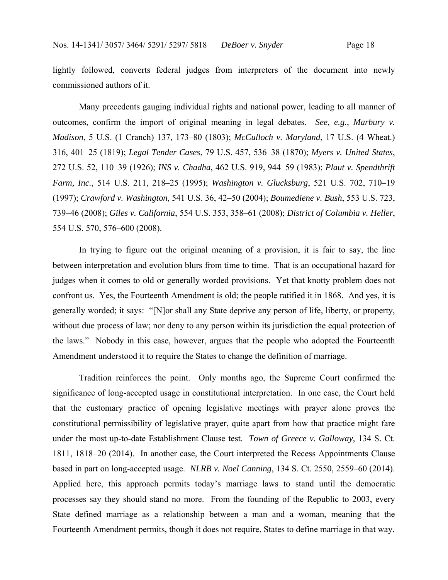lightly followed, converts federal judges from interpreters of the document into newly commissioned authors of it.

Many precedents gauging individual rights and national power, leading to all manner of outcomes, confirm the import of original meaning in legal debates. *See, e.g.*, *Marbury v. Madison*, 5 U.S. (1 Cranch) 137, 173–80 (1803); *McCulloch v. Maryland*, 17 U.S. (4 Wheat.) 316, 401–25 (1819); *Legal Tender Cases*, 79 U.S. 457, 536–38 (1870); *Myers v. United States*, 272 U.S. 52, 110–39 (1926); *INS v. Chadha*, 462 U.S. 919, 944–59 (1983); *Plaut v. Spendthrift Farm, Inc.*, 514 U.S. 211, 218–25 (1995); *Washington v. Glucksburg*, 521 U.S. 702, 710–19 (1997); *Crawford v. Washington*, 541 U.S. 36, 42–50 (2004); *Boumediene v. Bush*, 553 U.S. 723, 739–46 (2008); *Giles v. California*, 554 U.S. 353, 358–61 (2008); *District of Columbia v. Heller*, 554 U.S. 570, 576–600 (2008).

In trying to figure out the original meaning of a provision, it is fair to say, the line between interpretation and evolution blurs from time to time. That is an occupational hazard for judges when it comes to old or generally worded provisions. Yet that knotty problem does not confront us. Yes, the Fourteenth Amendment is old; the people ratified it in 1868. And yes, it is generally worded; it says: "[N]or shall any State deprive any person of life, liberty, or property, without due process of law; nor deny to any person within its jurisdiction the equal protection of the laws." Nobody in this case, however, argues that the people who adopted the Fourteenth Amendment understood it to require the States to change the definition of marriage.

Tradition reinforces the point. Only months ago, the Supreme Court confirmed the significance of long-accepted usage in constitutional interpretation. In one case, the Court held that the customary practice of opening legislative meetings with prayer alone proves the constitutional permissibility of legislative prayer, quite apart from how that practice might fare under the most up-to-date Establishment Clause test. *Town of Greece v. Galloway*, 134 S. Ct. 1811, 1818–20 (2014). In another case, the Court interpreted the Recess Appointments Clause based in part on long-accepted usage. *NLRB v. Noel Canning*, 134 S. Ct. 2550, 2559–60 (2014). Applied here, this approach permits today's marriage laws to stand until the democratic processes say they should stand no more. From the founding of the Republic to 2003, every State defined marriage as a relationship between a man and a woman, meaning that the Fourteenth Amendment permits, though it does not require, States to define marriage in that way.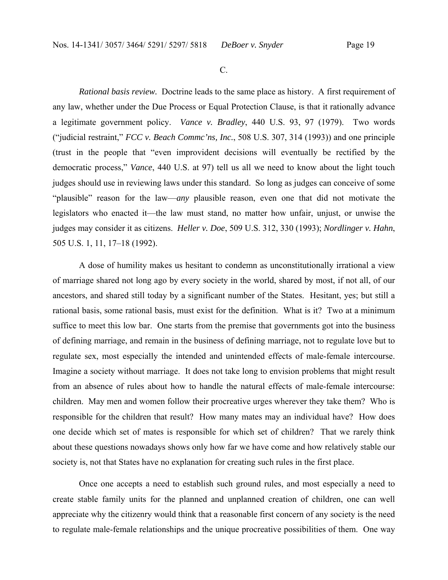C.

*Rational basis review.* Doctrine leads to the same place as history. A first requirement of any law, whether under the Due Process or Equal Protection Clause, is that it rationally advance a legitimate government policy. *Vance v. Bradley*, 440 U.S. 93, 97 (1979). Two words ("judicial restraint," *FCC v. Beach Commc'ns, Inc.*, 508 U.S. 307, 314 (1993)) and one principle (trust in the people that "even improvident decisions will eventually be rectified by the democratic process," *Vance*, 440 U.S. at 97) tell us all we need to know about the light touch judges should use in reviewing laws under this standard. So long as judges can conceive of some "plausible" reason for the law—*any* plausible reason, even one that did not motivate the legislators who enacted it—the law must stand, no matter how unfair, unjust, or unwise the judges may consider it as citizens. *Heller v. Doe*, 509 U.S. 312, 330 (1993); *Nordlinger v. Hahn*, 505 U.S. 1, 11, 17–18 (1992).

A dose of humility makes us hesitant to condemn as unconstitutionally irrational a view of marriage shared not long ago by every society in the world, shared by most, if not all, of our ancestors, and shared still today by a significant number of the States. Hesitant, yes; but still a rational basis, some rational basis, must exist for the definition. What is it? Two at a minimum suffice to meet this low bar. One starts from the premise that governments got into the business of defining marriage, and remain in the business of defining marriage, not to regulate love but to regulate sex, most especially the intended and unintended effects of male-female intercourse. Imagine a society without marriage. It does not take long to envision problems that might result from an absence of rules about how to handle the natural effects of male-female intercourse: children. May men and women follow their procreative urges wherever they take them? Who is responsible for the children that result? How many mates may an individual have? How does one decide which set of mates is responsible for which set of children? That we rarely think about these questions nowadays shows only how far we have come and how relatively stable our society is, not that States have no explanation for creating such rules in the first place.

Once one accepts a need to establish such ground rules, and most especially a need to create stable family units for the planned and unplanned creation of children, one can well appreciate why the citizenry would think that a reasonable first concern of any society is the need to regulate male-female relationships and the unique procreative possibilities of them. One way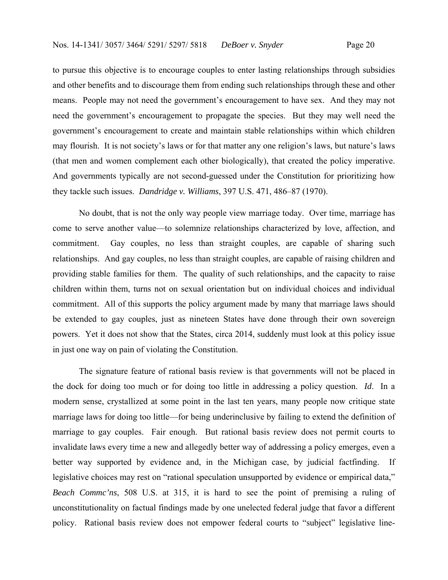to pursue this objective is to encourage couples to enter lasting relationships through subsidies and other benefits and to discourage them from ending such relationships through these and other means. People may not need the government's encouragement to have sex. And they may not need the government's encouragement to propagate the species. But they may well need the government's encouragement to create and maintain stable relationships within which children may flourish. It is not society's laws or for that matter any one religion's laws, but nature's laws (that men and women complement each other biologically), that created the policy imperative. And governments typically are not second-guessed under the Constitution for prioritizing how they tackle such issues. *Dandridge v. Williams*, 397 U.S. 471, 486–87 (1970).

No doubt, that is not the only way people view marriage today. Over time, marriage has come to serve another value—to solemnize relationships characterized by love, affection, and commitment. Gay couples, no less than straight couples, are capable of sharing such relationships. And gay couples, no less than straight couples, are capable of raising children and providing stable families for them. The quality of such relationships, and the capacity to raise children within them, turns not on sexual orientation but on individual choices and individual commitment. All of this supports the policy argument made by many that marriage laws should be extended to gay couples, just as nineteen States have done through their own sovereign powers. Yet it does not show that the States, circa 2014, suddenly must look at this policy issue in just one way on pain of violating the Constitution.

The signature feature of rational basis review is that governments will not be placed in the dock for doing too much or for doing too little in addressing a policy question. *Id*.In a modern sense, crystallized at some point in the last ten years, many people now critique state marriage laws for doing too little—for being underinclusive by failing to extend the definition of marriage to gay couples. Fair enough. But rational basis review does not permit courts to invalidate laws every time a new and allegedly better way of addressing a policy emerges, even a better way supported by evidence and, in the Michigan case, by judicial factfinding. If legislative choices may rest on "rational speculation unsupported by evidence or empirical data," *Beach Commc'ns*, 508 U.S. at 315, it is hard to see the point of premising a ruling of unconstitutionality on factual findings made by one unelected federal judge that favor a different policy. Rational basis review does not empower federal courts to "subject" legislative line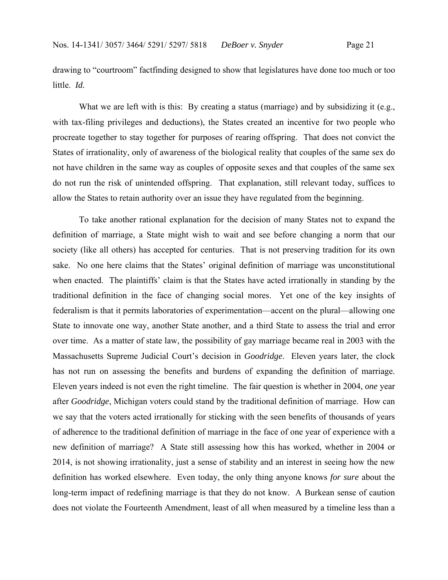drawing to "courtroom" factfinding designed to show that legislatures have done too much or too little. *Id.* 

What we are left with is this: By creating a status (marriage) and by subsidizing it (e.g., with tax-filing privileges and deductions), the States created an incentive for two people who procreate together to stay together for purposes of rearing offspring. That does not convict the States of irrationality, only of awareness of the biological reality that couples of the same sex do not have children in the same way as couples of opposite sexes and that couples of the same sex do not run the risk of unintended offspring. That explanation, still relevant today, suffices to allow the States to retain authority over an issue they have regulated from the beginning.

To take another rational explanation for the decision of many States not to expand the definition of marriage, a State might wish to wait and see before changing a norm that our society (like all others) has accepted for centuries. That is not preserving tradition for its own sake. No one here claims that the States' original definition of marriage was unconstitutional when enacted. The plaintiffs' claim is that the States have acted irrationally in standing by the traditional definition in the face of changing social mores. Yet one of the key insights of federalism is that it permits laboratories of experimentation—accent on the plural—allowing one State to innovate one way, another State another, and a third State to assess the trial and error over time. As a matter of state law, the possibility of gay marriage became real in 2003 with the Massachusetts Supreme Judicial Court's decision in *Goodridge*. Eleven years later, the clock has not run on assessing the benefits and burdens of expanding the definition of marriage. Eleven years indeed is not even the right timeline. The fair question is whether in 2004, *one* year after *Goodridge*, Michigan voters could stand by the traditional definition of marriage. How can we say that the voters acted irrationally for sticking with the seen benefits of thousands of years of adherence to the traditional definition of marriage in the face of one year of experience with a new definition of marriage? A State still assessing how this has worked, whether in 2004 or 2014, is not showing irrationality, just a sense of stability and an interest in seeing how the new definition has worked elsewhere. Even today, the only thing anyone knows *for sure* about the long-term impact of redefining marriage is that they do not know. A Burkean sense of caution does not violate the Fourteenth Amendment, least of all when measured by a timeline less than a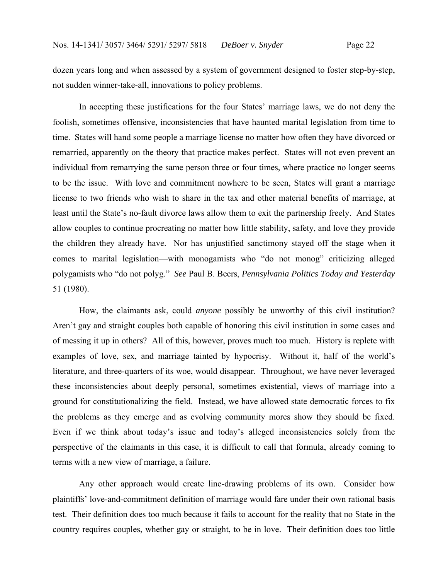dozen years long and when assessed by a system of government designed to foster step-by-step, not sudden winner-take-all, innovations to policy problems.

In accepting these justifications for the four States' marriage laws, we do not deny the foolish, sometimes offensive, inconsistencies that have haunted marital legislation from time to time. States will hand some people a marriage license no matter how often they have divorced or remarried, apparently on the theory that practice makes perfect. States will not even prevent an individual from remarrying the same person three or four times, where practice no longer seems to be the issue. With love and commitment nowhere to be seen, States will grant a marriage license to two friends who wish to share in the tax and other material benefits of marriage, at least until the State's no-fault divorce laws allow them to exit the partnership freely. And States allow couples to continue procreating no matter how little stability, safety, and love they provide the children they already have. Nor has unjustified sanctimony stayed off the stage when it comes to marital legislation—with monogamists who "do not monog" criticizing alleged polygamists who "do not polyg." *See* Paul B. Beers, *Pennsylvania Politics Today and Yesterday* 51 (1980).

How, the claimants ask, could *anyone* possibly be unworthy of this civil institution? Aren't gay and straight couples both capable of honoring this civil institution in some cases and of messing it up in others? All of this, however, proves much too much. History is replete with examples of love, sex, and marriage tainted by hypocrisy. Without it, half of the world's literature, and three-quarters of its woe, would disappear. Throughout, we have never leveraged these inconsistencies about deeply personal, sometimes existential, views of marriage into a ground for constitutionalizing the field. Instead, we have allowed state democratic forces to fix the problems as they emerge and as evolving community mores show they should be fixed. Even if we think about today's issue and today's alleged inconsistencies solely from the perspective of the claimants in this case, it is difficult to call that formula, already coming to terms with a new view of marriage, a failure.

Any other approach would create line-drawing problems of its own. Consider how plaintiffs' love-and-commitment definition of marriage would fare under their own rational basis test. Their definition does too much because it fails to account for the reality that no State in the country requires couples, whether gay or straight, to be in love. Their definition does too little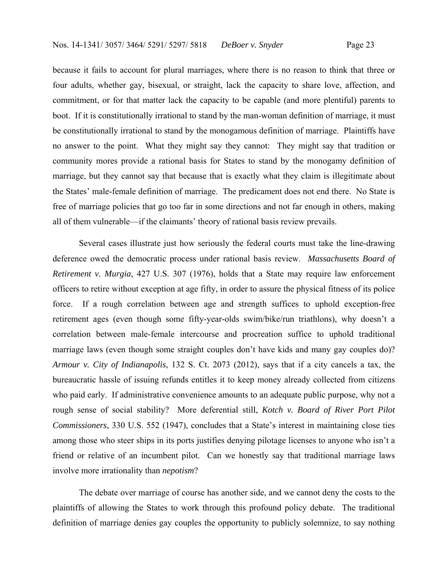because it fails to account for plural marriages, where there is no reason to think that three or four adults, whether gay, bisexual, or straight, lack the capacity to share love, affection, and commitment, or for that matter lack the capacity to be capable (and more plentiful) parents to boot. If it is constitutionally irrational to stand by the man-woman definition of marriage, it must be constitutionally irrational to stand by the monogamous definition of marriage. Plaintiffs have no answer to the point. What they might say they cannot: They might say that tradition or community mores provide a rational basis for States to stand by the monogamy definition of marriage, but they cannot say that because that is exactly what they claim is illegitimate about the States' male-female definition of marriage. The predicament does not end there. No State is free of marriage policies that go too far in some directions and not far enough in others, making all of them vulnerable—if the claimants' theory of rational basis review prevails.

Several cases illustrate just how seriously the federal courts must take the line-drawing deference owed the democratic process under rational basis review. *Massachusetts Board of Retirement v. Murgia*, 427 U.S. 307 (1976), holds that a State may require law enforcement officers to retire without exception at age fifty, in order to assure the physical fitness of its police force. If a rough correlation between age and strength suffices to uphold exception-free retirement ages (even though some fifty-year-olds swim/bike/run triathlons), why doesn't a correlation between male-female intercourse and procreation suffice to uphold traditional marriage laws (even though some straight couples don't have kids and many gay couples do)? *Armour v. City of Indianapolis*, 132 S. Ct. 2073 (2012), says that if a city cancels a tax, the bureaucratic hassle of issuing refunds entitles it to keep money already collected from citizens who paid early. If administrative convenience amounts to an adequate public purpose, why not a rough sense of social stability? More deferential still, *Kotch v. Board of River Port Pilot Commissioners*, 330 U.S. 552 (1947), concludes that a State's interest in maintaining close ties among those who steer ships in its ports justifies denying pilotage licenses to anyone who isn't a friend or relative of an incumbent pilot. Can we honestly say that traditional marriage laws involve more irrationality than *nepotism*?

The debate over marriage of course has another side, and we cannot deny the costs to the plaintiffs of allowing the States to work through this profound policy debate. The traditional definition of marriage denies gay couples the opportunity to publicly solemnize, to say nothing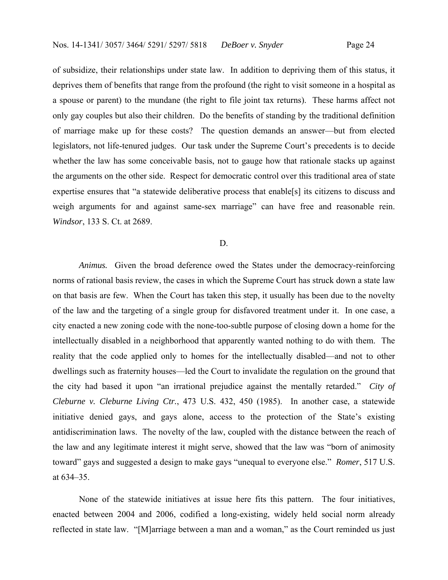of subsidize, their relationships under state law. In addition to depriving them of this status, it deprives them of benefits that range from the profound (the right to visit someone in a hospital as a spouse or parent) to the mundane (the right to file joint tax returns). These harms affect not only gay couples but also their children. Do the benefits of standing by the traditional definition of marriage make up for these costs? The question demands an answer—but from elected legislators, not life-tenured judges. Our task under the Supreme Court's precedents is to decide whether the law has some conceivable basis, not to gauge how that rationale stacks up against the arguments on the other side. Respect for democratic control over this traditional area of state expertise ensures that "a statewide deliberative process that enable[s] its citizens to discuss and weigh arguments for and against same-sex marriage" can have free and reasonable rein. *Windsor*, 133 S. Ct. at 2689.

#### D.

*Animus.* Given the broad deference owed the States under the democracy-reinforcing norms of rational basis review, the cases in which the Supreme Court has struck down a state law on that basis are few. When the Court has taken this step, it usually has been due to the novelty of the law and the targeting of a single group for disfavored treatment under it. In one case, a city enacted a new zoning code with the none-too-subtle purpose of closing down a home for the intellectually disabled in a neighborhood that apparently wanted nothing to do with them. The reality that the code applied only to homes for the intellectually disabled—and not to other dwellings such as fraternity houses—led the Court to invalidate the regulation on the ground that the city had based it upon "an irrational prejudice against the mentally retarded." *City of Cleburne v. Cleburne Living Ctr.*, 473 U.S. 432, 450 (1985).In another case, a statewide initiative denied gays, and gays alone, access to the protection of the State's existing antidiscrimination laws. The novelty of the law, coupled with the distance between the reach of the law and any legitimate interest it might serve, showed that the law was "born of animosity toward" gays and suggested a design to make gays "unequal to everyone else." *Romer*, 517 U.S. at 634–35.

None of the statewide initiatives at issue here fits this pattern. The four initiatives, enacted between 2004 and 2006, codified a long-existing, widely held social norm already reflected in state law. "[M]arriage between a man and a woman," as the Court reminded us just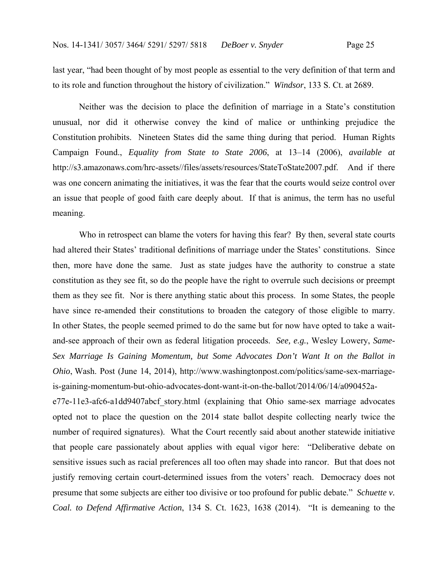last year, "had been thought of by most people as essential to the very definition of that term and to its role and function throughout the history of civilization." *Windsor*, 133 S. Ct. at 2689.

Neither was the decision to place the definition of marriage in a State's constitution unusual, nor did it otherwise convey the kind of malice or unthinking prejudice the Constitution prohibits. Nineteen States did the same thing during that period. Human Rights Campaign Found., *Equality from State to State 2006*, at 13–14 (2006), *available at* http://s3.amazonaws.com/hrc-assets//files/assets/resources/StateToState2007.pdf.And if there was one concern animating the initiatives, it was the fear that the courts would seize control over an issue that people of good faith care deeply about. If that is animus, the term has no useful meaning.

Who in retrospect can blame the voters for having this fear? By then, several state courts had altered their States' traditional definitions of marriage under the States' constitutions. Since then, more have done the same. Just as state judges have the authority to construe a state constitution as they see fit, so do the people have the right to overrule such decisions or preempt them as they see fit. Nor is there anything static about this process. In some States, the people have since re-amended their constitutions to broaden the category of those eligible to marry. In other States, the people seemed primed to do the same but for now have opted to take a waitand-see approach of their own as federal litigation proceeds. *See, e.g.*, Wesley Lowery, *Same-Sex Marriage Is Gaining Momentum, but Some Advocates Don't Want It on the Ballot in Ohio*, Wash. Post (June 14, 2014), http://www.washingtonpost.com/politics/same-sex-marriageis-gaining-momentum-but-ohio-advocates-dont-want-it-on-the-ballot/2014/06/14/a090452ae77e-11e3-afc6-a1dd9407abcf story.html (explaining that Ohio same-sex marriage advocates opted not to place the question on the 2014 state ballot despite collecting nearly twice the number of required signatures). What the Court recently said about another statewide initiative

that people care passionately about applies with equal vigor here: "Deliberative debate on sensitive issues such as racial preferences all too often may shade into rancor. But that does not justify removing certain court-determined issues from the voters' reach. Democracy does not presume that some subjects are either too divisive or too profound for public debate." *Schuette v. Coal. to Defend Affirmative Action*, 134 S. Ct. 1623, 1638 (2014). "It is demeaning to the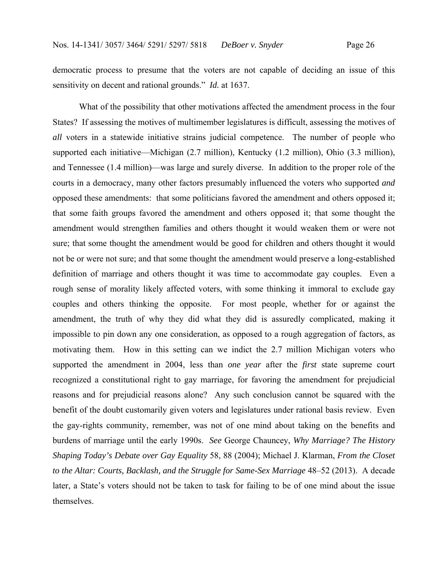democratic process to presume that the voters are not capable of deciding an issue of this sensitivity on decent and rational grounds." *Id.* at 1637.

What of the possibility that other motivations affected the amendment process in the four States? If assessing the motives of multimember legislatures is difficult, assessing the motives of *all* voters in a statewide initiative strains judicial competence. The number of people who supported each initiative—Michigan (2.7 million), Kentucky (1.2 million), Ohio (3.3 million), and Tennessee (1.4 million)—was large and surely diverse. In addition to the proper role of the courts in a democracy, many other factors presumably influenced the voters who supported *and* opposed these amendments: that some politicians favored the amendment and others opposed it; that some faith groups favored the amendment and others opposed it; that some thought the amendment would strengthen families and others thought it would weaken them or were not sure; that some thought the amendment would be good for children and others thought it would not be or were not sure; and that some thought the amendment would preserve a long-established definition of marriage and others thought it was time to accommodate gay couples. Even a rough sense of morality likely affected voters, with some thinking it immoral to exclude gay couples and others thinking the opposite. For most people, whether for or against the amendment, the truth of why they did what they did is assuredly complicated, making it impossible to pin down any one consideration, as opposed to a rough aggregation of factors, as motivating them. How in this setting can we indict the 2.7 million Michigan voters who supported the amendment in 2004, less than *one year* after the *first* state supreme court recognized a constitutional right to gay marriage, for favoring the amendment for prejudicial reasons and for prejudicial reasons alone? Any such conclusion cannot be squared with the benefit of the doubt customarily given voters and legislatures under rational basis review. Even the gay-rights community, remember, was not of one mind about taking on the benefits and burdens of marriage until the early 1990s. *See* George Chauncey, *Why Marriage? The History Shaping Today's Debate over Gay Equality* 58, 88 (2004); Michael J. Klarman, *From the Closet to the Altar: Courts, Backlash, and the Struggle for Same-Sex Marriage* 48–52 (2013). A decade later, a State's voters should not be taken to task for failing to be of one mind about the issue themselves.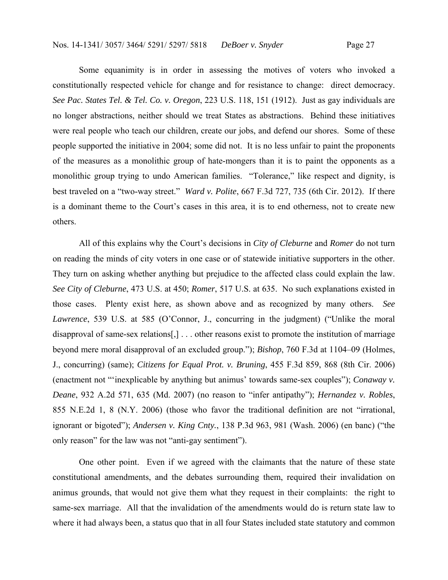Some equanimity is in order in assessing the motives of voters who invoked a constitutionally respected vehicle for change and for resistance to change: direct democracy. *See Pac. States Tel. & Tel. Co. v. Oregon*, 223 U.S. 118, 151 (1912). Just as gay individuals are no longer abstractions, neither should we treat States as abstractions. Behind these initiatives were real people who teach our children, create our jobs, and defend our shores. Some of these people supported the initiative in 2004; some did not. It is no less unfair to paint the proponents of the measures as a monolithic group of hate-mongers than it is to paint the opponents as a monolithic group trying to undo American families. "Tolerance," like respect and dignity, is best traveled on a "two-way street." *Ward v. Polite*, 667 F.3d 727, 735 (6th Cir. 2012). If there is a dominant theme to the Court's cases in this area, it is to end otherness, not to create new others.

All of this explains why the Court's decisions in *City of Cleburne* and *Romer* do not turn on reading the minds of city voters in one case or of statewide initiative supporters in the other. They turn on asking whether anything but prejudice to the affected class could explain the law. *See City of Cleburne*, 473 U.S. at 450; *Romer*, 517 U.S. at 635. No such explanations existed in those cases. Plenty exist here, as shown above and as recognized by many others. *See Lawrence*, 539 U.S. at 585 (O'Connor, J., concurring in the judgment) ("Unlike the moral disapproval of same-sex relations[,] . . . other reasons exist to promote the institution of marriage beyond mere moral disapproval of an excluded group."); *Bishop*, 760 F.3d at 1104–09 (Holmes, J., concurring) (same); *Citizens for Equal Prot. v. Bruning*, 455 F.3d 859, 868 (8th Cir. 2006) (enactment not "'inexplicable by anything but animus' towards same-sex couples"); *Conaway v. Deane*, 932 A.2d 571, 635 (Md. 2007) (no reason to "infer antipathy"); *Hernandez v. Robles*, 855 N.E.2d 1, 8 (N.Y. 2006) (those who favor the traditional definition are not "irrational, ignorant or bigoted"); *Andersen v. King Cnty.*, 138 P.3d 963, 981 (Wash. 2006) (en banc) ("the only reason" for the law was not "anti-gay sentiment").

One other point. Even if we agreed with the claimants that the nature of these state constitutional amendments, and the debates surrounding them, required their invalidation on animus grounds, that would not give them what they request in their complaints: the right to same-sex marriage. All that the invalidation of the amendments would do is return state law to where it had always been, a status quo that in all four States included state statutory and common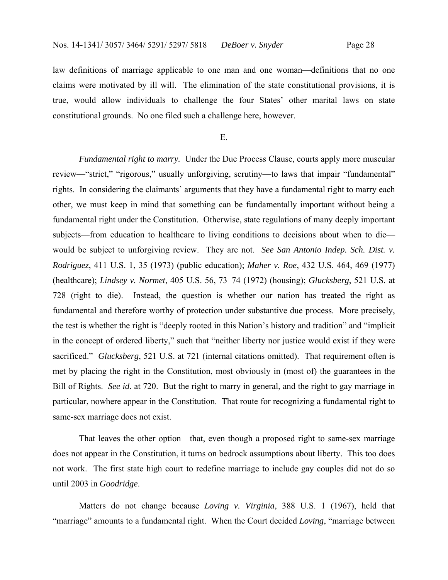law definitions of marriage applicable to one man and one woman—definitions that no one claims were motivated by ill will. The elimination of the state constitutional provisions, it is true, would allow individuals to challenge the four States' other marital laws on state constitutional grounds. No one filed such a challenge here, however.

E.

*Fundamental right to marry.* Under the Due Process Clause, courts apply more muscular review—"strict," "rigorous," usually unforgiving, scrutiny—to laws that impair "fundamental" rights. In considering the claimants' arguments that they have a fundamental right to marry each other, we must keep in mind that something can be fundamentally important without being a fundamental right under the Constitution. Otherwise, state regulations of many deeply important subjects—from education to healthcare to living conditions to decisions about when to die would be subject to unforgiving review. They are not. *See San Antonio Indep. Sch. Dist. v. Rodriguez*, 411 U.S. 1, 35 (1973) (public education); *Maher v. Roe*, 432 U.S. 464, 469 (1977) (healthcare); *Lindsey v. Normet*, 405 U.S. 56, 73–74 (1972) (housing); *Glucksberg*, 521 U.S. at 728 (right to die). Instead, the question is whether our nation has treated the right as fundamental and therefore worthy of protection under substantive due process. More precisely, the test is whether the right is "deeply rooted in this Nation's history and tradition" and "implicit in the concept of ordered liberty," such that "neither liberty nor justice would exist if they were sacrificed." *Glucksberg*, 521 U.S. at 721 (internal citations omitted). That requirement often is met by placing the right in the Constitution, most obviously in (most of) the guarantees in the Bill of Rights. *See id*. at 720.But the right to marry in general, and the right to gay marriage in particular, nowhere appear in the Constitution. That route for recognizing a fundamental right to same-sex marriage does not exist.

That leaves the other option—that, even though a proposed right to same-sex marriage does not appear in the Constitution, it turns on bedrock assumptions about liberty. This too does not work. The first state high court to redefine marriage to include gay couples did not do so until 2003 in *Goodridge*.

Matters do not change because *Loving v. Virginia*, 388 U.S. 1 (1967), held that "marriage" amounts to a fundamental right. When the Court decided *Loving*, "marriage between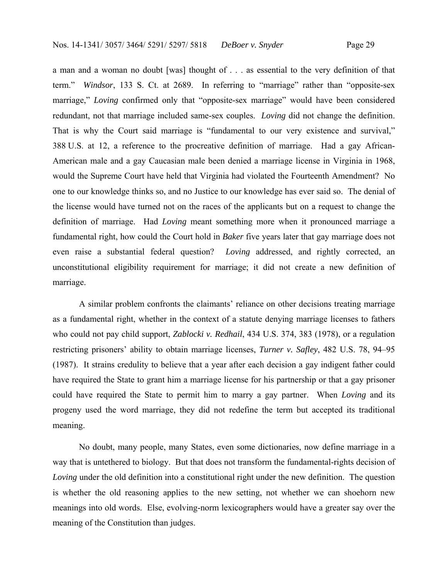a man and a woman no doubt [was] thought of . . . as essential to the very definition of that term." *Windsor*, 133 S. Ct. at 2689. In referring to "marriage" rather than "opposite-sex marriage," *Loving* confirmed only that "opposite-sex marriage" would have been considered redundant, not that marriage included same-sex couples. *Loving* did not change the definition. That is why the Court said marriage is "fundamental to our very existence and survival," 388 U.S. at 12, a reference to the procreative definition of marriage. Had a gay African-American male and a gay Caucasian male been denied a marriage license in Virginia in 1968, would the Supreme Court have held that Virginia had violated the Fourteenth Amendment? No one to our knowledge thinks so, and no Justice to our knowledge has ever said so. The denial of the license would have turned not on the races of the applicants but on a request to change the definition of marriage. Had *Loving* meant something more when it pronounced marriage a fundamental right, how could the Court hold in *Baker* five years later that gay marriage does not even raise a substantial federal question? *Loving* addressed, and rightly corrected, an unconstitutional eligibility requirement for marriage; it did not create a new definition of marriage.

A similar problem confronts the claimants' reliance on other decisions treating marriage as a fundamental right, whether in the context of a statute denying marriage licenses to fathers who could not pay child support, *Zablocki v. Redhail*, 434 U.S. 374, 383 (1978), or a regulation restricting prisoners' ability to obtain marriage licenses, *Turner v. Safley*, 482 U.S. 78, 94–95 (1987). It strains credulity to believe that a year after each decision a gay indigent father could have required the State to grant him a marriage license for his partnership or that a gay prisoner could have required the State to permit him to marry a gay partner. When *Loving* and its progeny used the word marriage, they did not redefine the term but accepted its traditional meaning.

No doubt, many people, many States, even some dictionaries, now define marriage in a way that is untethered to biology. But that does not transform the fundamental-rights decision of *Loving* under the old definition into a constitutional right under the new definition. The question is whether the old reasoning applies to the new setting, not whether we can shoehorn new meanings into old words. Else, evolving-norm lexicographers would have a greater say over the meaning of the Constitution than judges.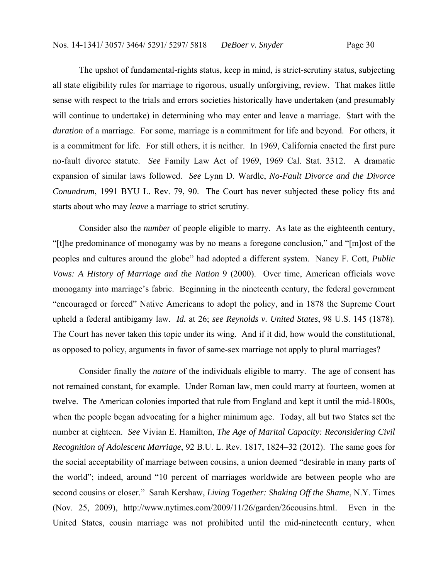The upshot of fundamental-rights status, keep in mind, is strict-scrutiny status, subjecting all state eligibility rules for marriage to rigorous, usually unforgiving, review. That makes little sense with respect to the trials and errors societies historically have undertaken (and presumably will continue to undertake) in determining who may enter and leave a marriage. Start with the *duration* of a marriage. For some, marriage is a commitment for life and beyond. For others, it is a commitment for life. For still others, it is neither. In 1969, California enacted the first pure no-fault divorce statute. *See* Family Law Act of 1969, 1969 Cal. Stat. 3312. A dramatic expansion of similar laws followed. *See* Lynn D. Wardle, *No-Fault Divorce and the Divorce Conundrum*, 1991 BYU L. Rev. 79, 90. The Court has never subjected these policy fits and starts about who may *leave* a marriage to strict scrutiny.

Consider also the *number* of people eligible to marry. As late as the eighteenth century, "[t]he predominance of monogamy was by no means a foregone conclusion," and "[m]ost of the peoples and cultures around the globe" had adopted a different system. Nancy F. Cott, *Public Vows: A History of Marriage and the Nation* 9 (2000). Over time, American officials wove monogamy into marriage's fabric. Beginning in the nineteenth century, the federal government "encouraged or forced" Native Americans to adopt the policy, and in 1878 the Supreme Court upheld a federal antibigamy law. *Id.* at 26; *see Reynolds v. United States*, 98 U.S. 145 (1878). The Court has never taken this topic under its wing. And if it did, how would the constitutional, as opposed to policy, arguments in favor of same-sex marriage not apply to plural marriages?

Consider finally the *nature* of the individuals eligible to marry. The age of consent has not remained constant, for example. Under Roman law, men could marry at fourteen, women at twelve. The American colonies imported that rule from England and kept it until the mid-1800s, when the people began advocating for a higher minimum age. Today, all but two States set the number at eighteen. *See* Vivian E. Hamilton, *The Age of Marital Capacity: Reconsidering Civil Recognition of Adolescent Marriage*, 92 B.U. L. Rev. 1817, 1824–32 (2012). The same goes for the social acceptability of marriage between cousins, a union deemed "desirable in many parts of the world"; indeed, around "10 percent of marriages worldwide are between people who are second cousins or closer." Sarah Kershaw, *Living Together: Shaking Off the Shame*, N.Y. Times (Nov. 25, 2009), http://www.nytimes.com/2009/11/26/garden/26cousins.html. Even in the United States, cousin marriage was not prohibited until the mid-nineteenth century, when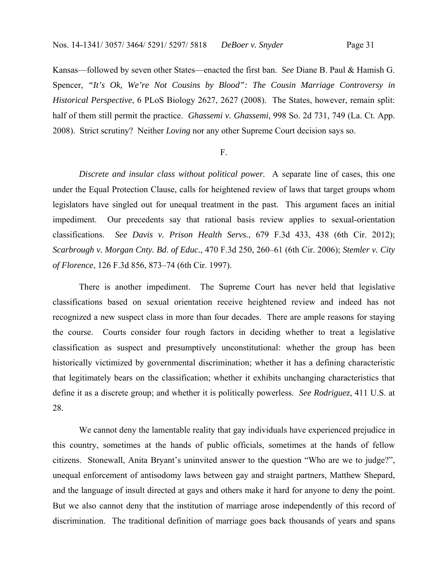Kansas—followed by seven other States—enacted the first ban. *See* Diane B. Paul & Hamish G. Spencer, *"It's Ok, We're Not Cousins by Blood": The Cousin Marriage Controversy in Historical Perspective*, 6 PLoS Biology 2627, 2627 (2008). The States, however, remain split: half of them still permit the practice. *Ghassemi v. Ghassemi*, 998 So. 2d 731, 749 (La. Ct. App. 2008). Strict scrutiny? Neither *Loving* nor any other Supreme Court decision says so.

### F.

*Discrete and insular class without political power.* A separate line of cases, this one under the Equal Protection Clause, calls for heightened review of laws that target groups whom legislators have singled out for unequal treatment in the past. This argument faces an initial impediment. Our precedents say that rational basis review applies to sexual-orientation classifications. *See Davis v. Prison Health Servs.*, 679 F.3d 433, 438 (6th Cir. 2012); *Scarbrough v. Morgan Cnty. Bd. of Educ.*, 470 F.3d 250, 260–61 (6th Cir. 2006); *Stemler v. City of Florence*, 126 F.3d 856, 873–74 (6th Cir. 1997).

There is another impediment. The Supreme Court has never held that legislative classifications based on sexual orientation receive heightened review and indeed has not recognized a new suspect class in more than four decades. There are ample reasons for staying the course. Courts consider four rough factors in deciding whether to treat a legislative classification as suspect and presumptively unconstitutional: whether the group has been historically victimized by governmental discrimination; whether it has a defining characteristic that legitimately bears on the classification; whether it exhibits unchanging characteristics that define it as a discrete group; and whether it is politically powerless. *See Rodriguez*, 411 U.S. at 28*.*

We cannot deny the lamentable reality that gay individuals have experienced prejudice in this country, sometimes at the hands of public officials, sometimes at the hands of fellow citizens. Stonewall, Anita Bryant's uninvited answer to the question "Who are we to judge?", unequal enforcement of antisodomy laws between gay and straight partners, Matthew Shepard, and the language of insult directed at gays and others make it hard for anyone to deny the point. But we also cannot deny that the institution of marriage arose independently of this record of discrimination. The traditional definition of marriage goes back thousands of years and spans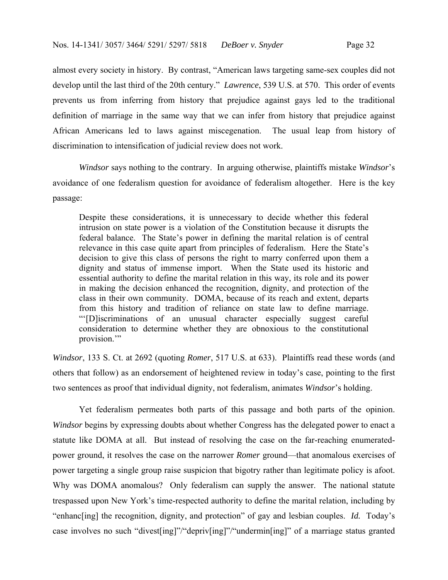almost every society in history. By contrast, "American laws targeting same-sex couples did not develop until the last third of the 20th century." *Lawrence*, 539 U.S. at 570. This order of events prevents us from inferring from history that prejudice against gays led to the traditional definition of marriage in the same way that we can infer from history that prejudice against African Americans led to laws against miscegenation. The usual leap from history of discrimination to intensification of judicial review does not work.

*Windsor* says nothing to the contrary. In arguing otherwise, plaintiffs mistake *Windsor*'s avoidance of one federalism question for avoidance of federalism altogether. Here is the key passage:

Despite these considerations, it is unnecessary to decide whether this federal intrusion on state power is a violation of the Constitution because it disrupts the federal balance. The State's power in defining the marital relation is of central relevance in this case quite apart from principles of federalism. Here the State's decision to give this class of persons the right to marry conferred upon them a dignity and status of immense import. When the State used its historic and essential authority to define the marital relation in this way, its role and its power in making the decision enhanced the recognition, dignity, and protection of the class in their own community. DOMA, because of its reach and extent, departs from this history and tradition of reliance on state law to define marriage. "'[D]iscriminations of an unusual character especially suggest careful consideration to determine whether they are obnoxious to the constitutional provision."

*Windsor*, 133 S. Ct. at 2692 (quoting *Romer*, 517 U.S. at 633). Plaintiffs read these words (and others that follow) as an endorsement of heightened review in today's case, pointing to the first two sentences as proof that individual dignity, not federalism, animates *Windsor*'s holding.

Yet federalism permeates both parts of this passage and both parts of the opinion. *Windsor* begins by expressing doubts about whether Congress has the delegated power to enact a statute like DOMA at all. But instead of resolving the case on the far-reaching enumeratedpower ground, it resolves the case on the narrower *Romer* ground—that anomalous exercises of power targeting a single group raise suspicion that bigotry rather than legitimate policy is afoot. Why was DOMA anomalous? Only federalism can supply the answer. The national statute trespassed upon New York's time-respected authority to define the marital relation, including by "enhanc[ing] the recognition, dignity, and protection" of gay and lesbian couples. *Id.* Today's case involves no such "divest[ing]"/"depriv[ing]"/"undermin[ing]" of a marriage status granted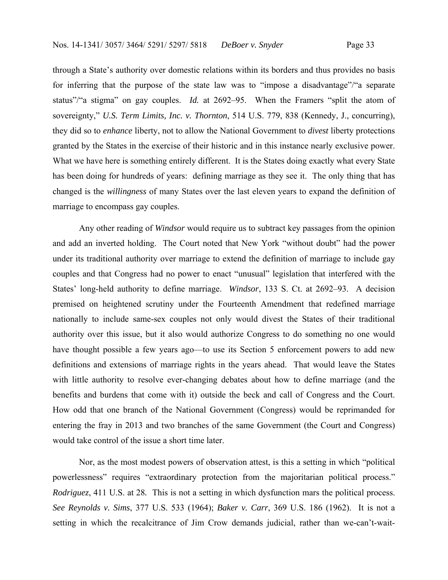through a State's authority over domestic relations within its borders and thus provides no basis for inferring that the purpose of the state law was to "impose a disadvantage"/"a separate status"/"a stigma" on gay couples. *Id.* at 2692–95. When the Framers "split the atom of sovereignty," *U.S. Term Limits, Inc. v. Thornton*, 514 U.S. 779, 838 (Kennedy, J., concurring), they did so to *enhance* liberty, not to allow the National Government to *divest* liberty protections granted by the States in the exercise of their historic and in this instance nearly exclusive power. What we have here is something entirely different. It is the States doing exactly what every State has been doing for hundreds of years: defining marriage as they see it. The only thing that has changed is the *willingness* of many States over the last eleven years to expand the definition of marriage to encompass gay couples.

Any other reading of *Windsor* would require us to subtract key passages from the opinion and add an inverted holding. The Court noted that New York "without doubt" had the power under its traditional authority over marriage to extend the definition of marriage to include gay couples and that Congress had no power to enact "unusual" legislation that interfered with the States' long-held authority to define marriage. *Windsor*, 133 S. Ct. at 2692–93.A decision premised on heightened scrutiny under the Fourteenth Amendment that redefined marriage nationally to include same-sex couples not only would divest the States of their traditional authority over this issue, but it also would authorize Congress to do something no one would have thought possible a few years ago—to use its Section 5 enforcement powers to add new definitions and extensions of marriage rights in the years ahead. That would leave the States with little authority to resolve ever-changing debates about how to define marriage (and the benefits and burdens that come with it) outside the beck and call of Congress and the Court. How odd that one branch of the National Government (Congress) would be reprimanded for entering the fray in 2013 and two branches of the same Government (the Court and Congress) would take control of the issue a short time later.

Nor, as the most modest powers of observation attest, is this a setting in which "political powerlessness" requires "extraordinary protection from the majoritarian political process." *Rodriguez*, 411 U.S. at 28*.* This is not a setting in which dysfunction mars the political process. *See Reynolds v. Sims*, 377 U.S. 533 (1964); *Baker v. Carr*, 369 U.S. 186 (1962).It is not a setting in which the recalcitrance of Jim Crow demands judicial, rather than we-can't-wait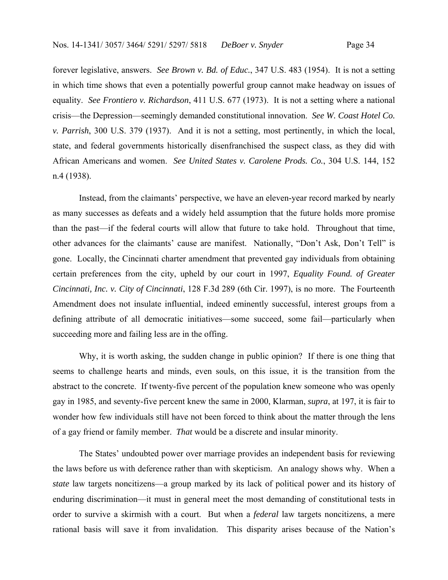forever legislative, answers. *See Brown v. Bd. of Educ.*, 347 U.S. 483 (1954). It is not a setting in which time shows that even a potentially powerful group cannot make headway on issues of equality. *See Frontiero v. Richardson*, 411 U.S. 677 (1973). It is not a setting where a national crisis—the Depression—seemingly demanded constitutional innovation. *See W. Coast Hotel Co. v. Parrish*, 300 U.S. 379 (1937). And it is not a setting, most pertinently, in which the local, state, and federal governments historically disenfranchised the suspect class, as they did with African Americans and women.*See United States v. Carolene Prods. Co.*, 304 U.S. 144, 152 n.4 (1938).

Instead, from the claimants' perspective, we have an eleven-year record marked by nearly as many successes as defeats and a widely held assumption that the future holds more promise than the past—if the federal courts will allow that future to take hold. Throughout that time, other advances for the claimants' cause are manifest. Nationally, "Don't Ask, Don't Tell" is gone. Locally, the Cincinnati charter amendment that prevented gay individuals from obtaining certain preferences from the city, upheld by our court in 1997, *Equality Found. of Greater Cincinnati, Inc. v. City of Cincinnati*, 128 F.3d 289 (6th Cir. 1997), is no more. The Fourteenth Amendment does not insulate influential, indeed eminently successful, interest groups from a defining attribute of all democratic initiatives—some succeed, some fail—particularly when succeeding more and failing less are in the offing.

Why, it is worth asking, the sudden change in public opinion? If there is one thing that seems to challenge hearts and minds, even souls, on this issue, it is the transition from the abstract to the concrete. If twenty-five percent of the population knew someone who was openly gay in 1985, and seventy-five percent knew the same in 2000, Klarman, *supra*, at 197, it is fair to wonder how few individuals still have not been forced to think about the matter through the lens of a gay friend or family member. *That* would be a discrete and insular minority.

The States' undoubted power over marriage provides an independent basis for reviewing the laws before us with deference rather than with skepticism. An analogy shows why. When a *state* law targets noncitizens—a group marked by its lack of political power and its history of enduring discrimination—it must in general meet the most demanding of constitutional tests in order to survive a skirmish with a court. But when a *federal* law targets noncitizens, a mere rational basis will save it from invalidation. This disparity arises because of the Nation's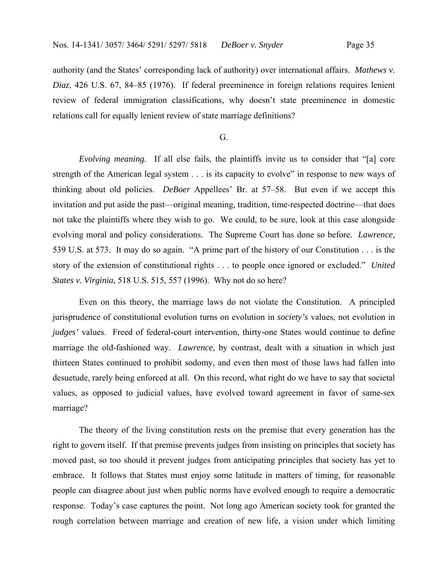authority (and the States' corresponding lack of authority) over international affairs. *Mathews v. Diaz*, 426 U.S. 67, 84–85 (1976). If federal preeminence in foreign relations requires lenient review of federal immigration classifications, why doesn't state preeminence in domestic relations call for equally lenient review of state marriage definitions?

# G.

*Evolving meaning.* If all else fails, the plaintiffs invite us to consider that "[a] core strength of the American legal system . . . is its capacity to evolve" in response to new ways of thinking about old policies. *DeBoer* Appellees' Br. at 57–58. But even if we accept this invitation and put aside the past—original meaning, tradition, time-respected doctrine—that does not take the plaintiffs where they wish to go. We could, to be sure, look at this case alongside evolving moral and policy considerations. The Supreme Court has done so before. *Lawrence*, 539 U.S. at 573. It may do so again. "A prime part of the history of our Constitution . . . is the story of the extension of constitutional rights . . . to people once ignored or excluded." *United States v. Virginia*, 518 U.S. 515, 557 (1996). Why not do so here?

Even on this theory, the marriage laws do not violate the Constitution. A principled jurisprudence of constitutional evolution turns on evolution in *society's* values, not evolution in *judges'* values. Freed of federal-court intervention, thirty-one States would continue to define marriage the old-fashioned way. *Lawrence*, by contrast, dealt with a situation in which just thirteen States continued to prohibit sodomy, and even then most of those laws had fallen into desuetude, rarely being enforced at all. On this record, what right do we have to say that societal values, as opposed to judicial values, have evolved toward agreement in favor of same-sex marriage?

The theory of the living constitution rests on the premise that every generation has the right to govern itself. If that premise prevents judges from insisting on principles that society has moved past, so too should it prevent judges from anticipating principles that society has yet to embrace. It follows that States must enjoy some latitude in matters of timing, for reasonable people can disagree about just when public norms have evolved enough to require a democratic response. Today's case captures the point. Not long ago American society took for granted the rough correlation between marriage and creation of new life, a vision under which limiting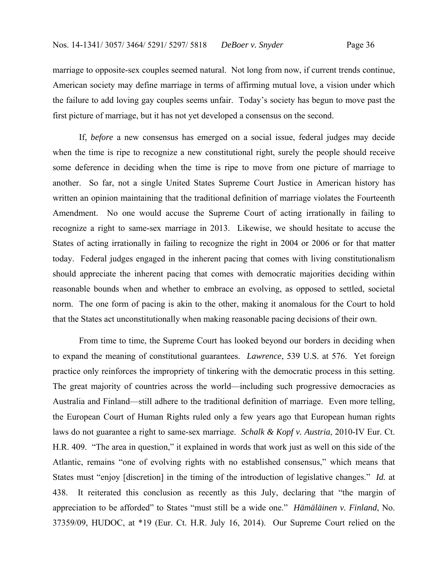marriage to opposite-sex couples seemed natural. Not long from now, if current trends continue, American society may define marriage in terms of affirming mutual love, a vision under which the failure to add loving gay couples seems unfair. Today's society has begun to move past the first picture of marriage, but it has not yet developed a consensus on the second.

If, *before* a new consensus has emerged on a social issue, federal judges may decide when the time is ripe to recognize a new constitutional right, surely the people should receive some deference in deciding when the time is ripe to move from one picture of marriage to another. So far, not a single United States Supreme Court Justice in American history has written an opinion maintaining that the traditional definition of marriage violates the Fourteenth Amendment. No one would accuse the Supreme Court of acting irrationally in failing to recognize a right to same-sex marriage in 2013. Likewise, we should hesitate to accuse the States of acting irrationally in failing to recognize the right in 2004 or 2006 or for that matter today. Federal judges engaged in the inherent pacing that comes with living constitutionalism should appreciate the inherent pacing that comes with democratic majorities deciding within reasonable bounds when and whether to embrace an evolving, as opposed to settled, societal norm. The one form of pacing is akin to the other, making it anomalous for the Court to hold that the States act unconstitutionally when making reasonable pacing decisions of their own.

From time to time, the Supreme Court has looked beyond our borders in deciding when to expand the meaning of constitutional guarantees. *Lawrence*, 539 U.S. at 576. Yet foreign practice only reinforces the impropriety of tinkering with the democratic process in this setting. The great majority of countries across the world—including such progressive democracies as Australia and Finland—still adhere to the traditional definition of marriage. Even more telling, the European Court of Human Rights ruled only a few years ago that European human rights laws do not guarantee a right to same-sex marriage. *Schalk & Kopf v. Austria*, 2010-IV Eur. Ct. H.R. 409. "The area in question," it explained in words that work just as well on this side of the Atlantic, remains "one of evolving rights with no established consensus," which means that States must "enjoy [discretion] in the timing of the introduction of legislative changes." *Id.* at 438. It reiterated this conclusion as recently as this July, declaring that "the margin of appreciation to be afforded" to States "must still be a wide one." *Hämäläinen v. Finland*, No. 37359/09, HUDOC, at \*19 (Eur. Ct. H.R. July 16, 2014). Our Supreme Court relied on the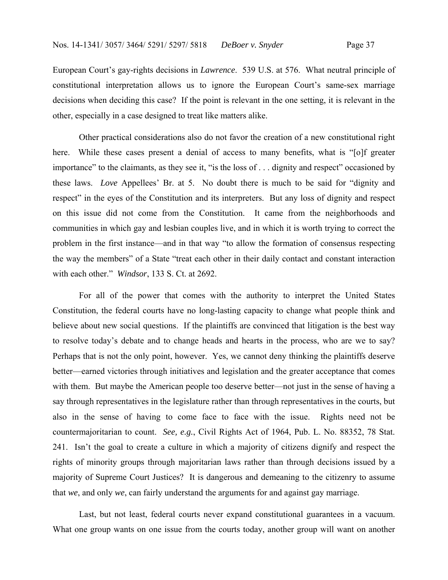European Court's gay-rights decisions in *Lawrence*. 539 U.S. at 576. What neutral principle of constitutional interpretation allows us to ignore the European Court's same-sex marriage decisions when deciding this case? If the point is relevant in the one setting, it is relevant in the other, especially in a case designed to treat like matters alike.

Other practical considerations also do not favor the creation of a new constitutional right here. While these cases present a denial of access to many benefits, what is "[o]f greater importance" to the claimants, as they see it, "is the loss of . . . dignity and respect" occasioned by these laws. *Love* Appellees' Br. at 5. No doubt there is much to be said for "dignity and respect" in the eyes of the Constitution and its interpreters. But any loss of dignity and respect on this issue did not come from the Constitution. It came from the neighborhoods and communities in which gay and lesbian couples live, and in which it is worth trying to correct the problem in the first instance—and in that way "to allow the formation of consensus respecting the way the members" of a State "treat each other in their daily contact and constant interaction with each other." *Windsor*, 133 S. Ct. at 2692.

For all of the power that comes with the authority to interpret the United States Constitution, the federal courts have no long-lasting capacity to change what people think and believe about new social questions. If the plaintiffs are convinced that litigation is the best way to resolve today's debate and to change heads and hearts in the process, who are we to say? Perhaps that is not the only point, however. Yes, we cannot deny thinking the plaintiffs deserve better—earned victories through initiatives and legislation and the greater acceptance that comes with them. But maybe the American people too deserve better—not just in the sense of having a say through representatives in the legislature rather than through representatives in the courts, but also in the sense of having to come face to face with the issue. Rights need not be countermajoritarian to count. *See, e.g.*, Civil Rights Act of 1964, Pub. L. No. 88352, 78 Stat. 241. Isn't the goal to create a culture in which a majority of citizens dignify and respect the rights of minority groups through majoritarian laws rather than through decisions issued by a majority of Supreme Court Justices? It is dangerous and demeaning to the citizenry to assume that *we*, and only *we*, can fairly understand the arguments for and against gay marriage.

Last, but not least, federal courts never expand constitutional guarantees in a vacuum. What one group wants on one issue from the courts today, another group will want on another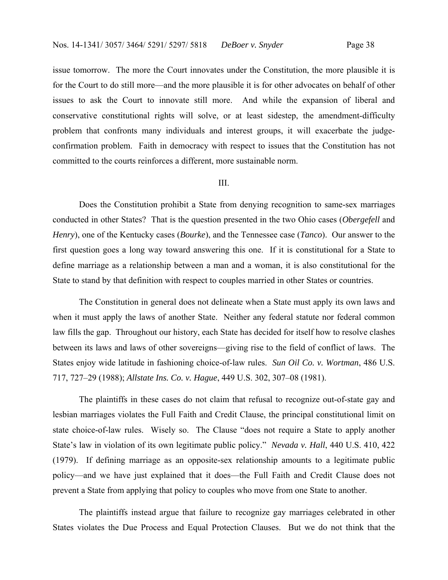issue tomorrow. The more the Court innovates under the Constitution, the more plausible it is for the Court to do still more—and the more plausible it is for other advocates on behalf of other issues to ask the Court to innovate still more. And while the expansion of liberal and conservative constitutional rights will solve, or at least sidestep, the amendment-difficulty problem that confronts many individuals and interest groups, it will exacerbate the judgeconfirmation problem. Faith in democracy with respect to issues that the Constitution has not committed to the courts reinforces a different, more sustainable norm.

#### III.

Does the Constitution prohibit a State from denying recognition to same-sex marriages conducted in other States? That is the question presented in the two Ohio cases (*Obergefell* and *Henry*), one of the Kentucky cases (*Bourke*), and the Tennessee case (*Tanco*). Our answer to the first question goes a long way toward answering this one. If it is constitutional for a State to define marriage as a relationship between a man and a woman, it is also constitutional for the State to stand by that definition with respect to couples married in other States or countries.

The Constitution in general does not delineate when a State must apply its own laws and when it must apply the laws of another State. Neither any federal statute nor federal common law fills the gap. Throughout our history, each State has decided for itself how to resolve clashes between its laws and laws of other sovereigns—giving rise to the field of conflict of laws. The States enjoy wide latitude in fashioning choice-of-law rules. *Sun Oil Co. v. Wortman*, 486 U.S. 717, 727–29 (1988); *Allstate Ins. Co. v. Hague*, 449 U.S. 302, 307–08 (1981).

The plaintiffs in these cases do not claim that refusal to recognize out-of-state gay and lesbian marriages violates the Full Faith and Credit Clause, the principal constitutional limit on state choice-of-law rules. Wisely so. The Clause "does not require a State to apply another State's law in violation of its own legitimate public policy." *Nevada v. Hall*, 440 U.S. 410, 422 (1979). If defining marriage as an opposite-sex relationship amounts to a legitimate public policy—and we have just explained that it does—the Full Faith and Credit Clause does not prevent a State from applying that policy to couples who move from one State to another.

The plaintiffs instead argue that failure to recognize gay marriages celebrated in other States violates the Due Process and Equal Protection Clauses. But we do not think that the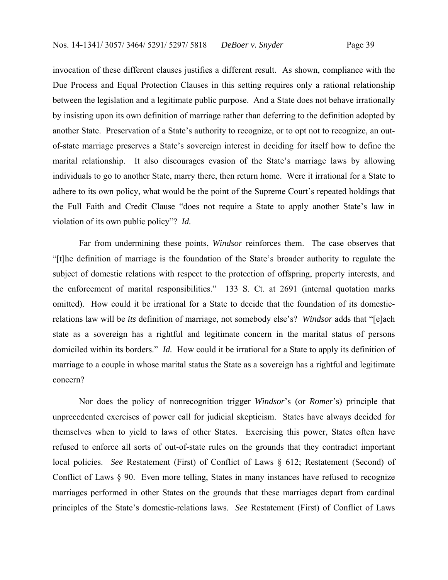invocation of these different clauses justifies a different result. As shown, compliance with the Due Process and Equal Protection Clauses in this setting requires only a rational relationship between the legislation and a legitimate public purpose. And a State does not behave irrationally by insisting upon its own definition of marriage rather than deferring to the definition adopted by another State. Preservation of a State's authority to recognize, or to opt not to recognize, an outof-state marriage preserves a State's sovereign interest in deciding for itself how to define the marital relationship. It also discourages evasion of the State's marriage laws by allowing individuals to go to another State, marry there, then return home. Were it irrational for a State to adhere to its own policy, what would be the point of the Supreme Court's repeated holdings that the Full Faith and Credit Clause "does not require a State to apply another State's law in violation of its own public policy"? *Id.*

Far from undermining these points, *Windsor* reinforces them. The case observes that "[t]he definition of marriage is the foundation of the State's broader authority to regulate the subject of domestic relations with respect to the protection of offspring, property interests, and the enforcement of marital responsibilities." 133 S. Ct. at 2691 (internal quotation marks omitted). How could it be irrational for a State to decide that the foundation of its domesticrelations law will be *its* definition of marriage, not somebody else's? *Windsor* adds that "[e]ach state as a sovereign has a rightful and legitimate concern in the marital status of persons domiciled within its borders." *Id.* How could it be irrational for a State to apply its definition of marriage to a couple in whose marital status the State as a sovereign has a rightful and legitimate concern?

Nor does the policy of nonrecognition trigger *Windsor*'s (or *Romer*'s) principle that unprecedented exercises of power call for judicial skepticism. States have always decided for themselves when to yield to laws of other States. Exercising this power, States often have refused to enforce all sorts of out-of-state rules on the grounds that they contradict important local policies. *See* Restatement (First) of Conflict of Laws § 612; Restatement (Second) of Conflict of Laws § 90. Even more telling, States in many instances have refused to recognize marriages performed in other States on the grounds that these marriages depart from cardinal principles of the State's domestic-relations laws. *See* Restatement (First) of Conflict of Laws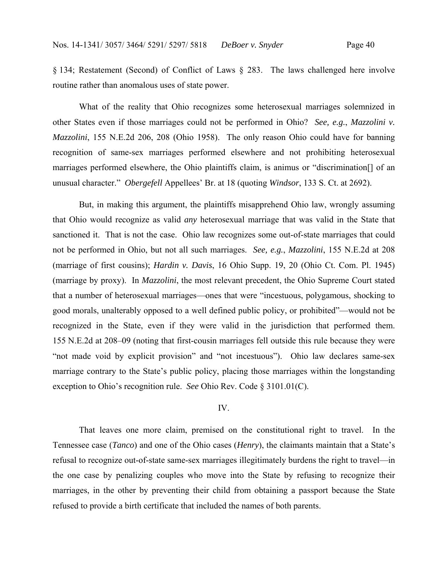§ 134; Restatement (Second) of Conflict of Laws § 283. The laws challenged here involve routine rather than anomalous uses of state power.

What of the reality that Ohio recognizes some heterosexual marriages solemnized in other States even if those marriages could not be performed in Ohio? *See, e.g.*, *Mazzolini v. Mazzolini*, 155 N.E.2d 206, 208 (Ohio 1958). The only reason Ohio could have for banning recognition of same-sex marriages performed elsewhere and not prohibiting heterosexual marriages performed elsewhere, the Ohio plaintiffs claim, is animus or "discrimination[] of an unusual character." *Obergefell* Appellees' Br. at 18 (quoting *Windsor*, 133 S. Ct. at 2692).

But, in making this argument, the plaintiffs misapprehend Ohio law, wrongly assuming that Ohio would recognize as valid *any* heterosexual marriage that was valid in the State that sanctioned it. That is not the case. Ohio law recognizes some out-of-state marriages that could not be performed in Ohio, but not all such marriages. *See, e.g.*, *Mazzolini*, 155 N.E.2d at 208 (marriage of first cousins); *Hardin v. Davis*, 16 Ohio Supp. 19, 20 (Ohio Ct. Com. Pl. 1945) (marriage by proxy). In *Mazzolini*, the most relevant precedent, the Ohio Supreme Court stated that a number of heterosexual marriages—ones that were "incestuous, polygamous, shocking to good morals, unalterably opposed to a well defined public policy, or prohibited"—would not be recognized in the State, even if they were valid in the jurisdiction that performed them. 155 N.E.2d at 208–09 (noting that first-cousin marriages fell outside this rule because they were "not made void by explicit provision" and "not incestuous"). Ohio law declares same-sex marriage contrary to the State's public policy, placing those marriages within the longstanding exception to Ohio's recognition rule. *See* Ohio Rev. Code § 3101.01(C).

#### IV.

That leaves one more claim, premised on the constitutional right to travel. In the Tennessee case (*Tanco*) and one of the Ohio cases (*Henry*), the claimants maintain that a State's refusal to recognize out-of-state same-sex marriages illegitimately burdens the right to travel—in the one case by penalizing couples who move into the State by refusing to recognize their marriages, in the other by preventing their child from obtaining a passport because the State refused to provide a birth certificate that included the names of both parents.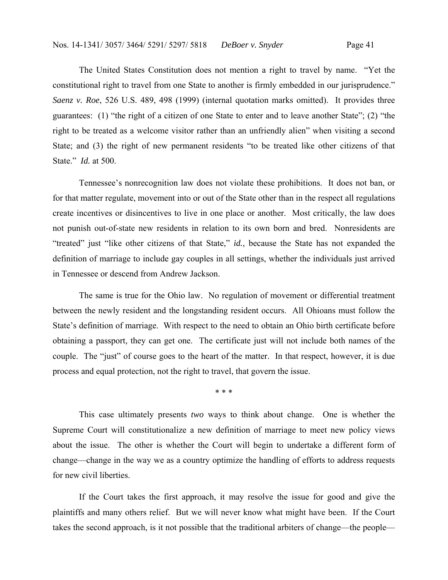The United States Constitution does not mention a right to travel by name. "Yet the constitutional right to travel from one State to another is firmly embedded in our jurisprudence." *Saenz v. Roe*, 526 U.S. 489, 498 (1999) (internal quotation marks omitted). It provides three guarantees: (1) "the right of a citizen of one State to enter and to leave another State"; (2) "the right to be treated as a welcome visitor rather than an unfriendly alien" when visiting a second State; and (3) the right of new permanent residents "to be treated like other citizens of that State." *Id.* at 500.

Tennessee's nonrecognition law does not violate these prohibitions. It does not ban, or for that matter regulate, movement into or out of the State other than in the respect all regulations create incentives or disincentives to live in one place or another. Most critically, the law does not punish out-of-state new residents in relation to its own born and bred. Nonresidents are "treated" just "like other citizens of that State," *id.*, because the State has not expanded the definition of marriage to include gay couples in all settings, whether the individuals just arrived in Tennessee or descend from Andrew Jackson.

The same is true for the Ohio law. No regulation of movement or differential treatment between the newly resident and the longstanding resident occurs. All Ohioans must follow the State's definition of marriage. With respect to the need to obtain an Ohio birth certificate before obtaining a passport, they can get one. The certificate just will not include both names of the couple. The "just" of course goes to the heart of the matter. In that respect, however, it is due process and equal protection, not the right to travel, that govern the issue.

\* \* \*

This case ultimately presents *two* ways to think about change. One is whether the Supreme Court will constitutionalize a new definition of marriage to meet new policy views about the issue. The other is whether the Court will begin to undertake a different form of change—change in the way we as a country optimize the handling of efforts to address requests for new civil liberties.

If the Court takes the first approach, it may resolve the issue for good and give the plaintiffs and many others relief. But we will never know what might have been. If the Court takes the second approach, is it not possible that the traditional arbiters of change—the people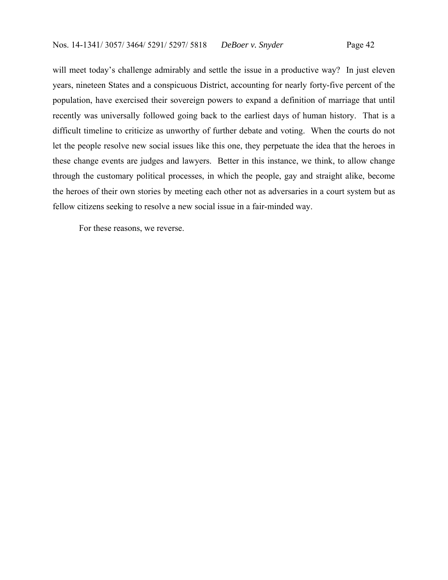will meet today's challenge admirably and settle the issue in a productive way? In just eleven years, nineteen States and a conspicuous District, accounting for nearly forty-five percent of the population, have exercised their sovereign powers to expand a definition of marriage that until recently was universally followed going back to the earliest days of human history. That is a difficult timeline to criticize as unworthy of further debate and voting. When the courts do not let the people resolve new social issues like this one, they perpetuate the idea that the heroes in these change events are judges and lawyers. Better in this instance, we think, to allow change through the customary political processes, in which the people, gay and straight alike, become the heroes of their own stories by meeting each other not as adversaries in a court system but as fellow citizens seeking to resolve a new social issue in a fair-minded way.

For these reasons, we reverse.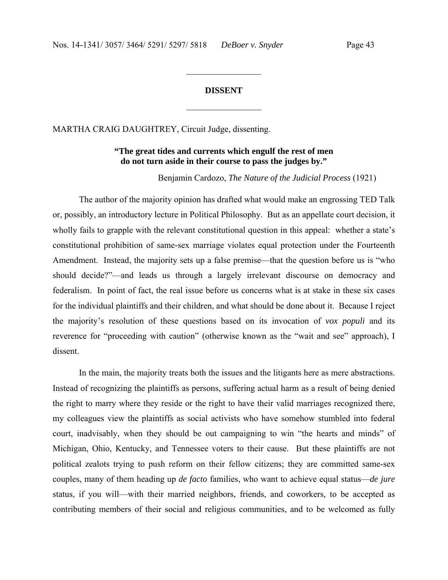### **DISSENT**

 $\frac{1}{2}$  ,  $\frac{1}{2}$  ,  $\frac{1}{2}$  ,  $\frac{1}{2}$  ,  $\frac{1}{2}$  ,  $\frac{1}{2}$  ,  $\frac{1}{2}$  ,  $\frac{1}{2}$  ,  $\frac{1}{2}$ 

 $\frac{1}{2}$  ,  $\frac{1}{2}$  ,  $\frac{1}{2}$  ,  $\frac{1}{2}$  ,  $\frac{1}{2}$  ,  $\frac{1}{2}$  ,  $\frac{1}{2}$  ,  $\frac{1}{2}$  ,  $\frac{1}{2}$ 

MARTHA CRAIG DAUGHTREY, Circuit Judge, dissenting.

# **"The great tides and currents which engulf the rest of men do not turn aside in their course to pass the judges by."**

Benjamin Cardozo, *The Nature of the Judicial Process* (1921)

The author of the majority opinion has drafted what would make an engrossing TED Talk or, possibly, an introductory lecture in Political Philosophy. But as an appellate court decision, it wholly fails to grapple with the relevant constitutional question in this appeal: whether a state's constitutional prohibition of same-sex marriage violates equal protection under the Fourteenth Amendment. Instead, the majority sets up a false premise—that the question before us is "who should decide?"—and leads us through a largely irrelevant discourse on democracy and federalism. In point of fact, the real issue before us concerns what is at stake in these six cases for the individual plaintiffs and their children, and what should be done about it. Because I reject the majority's resolution of these questions based on its invocation of *vox populi* and its reverence for "proceeding with caution" (otherwise known as the "wait and see" approach), I dissent.

In the main, the majority treats both the issues and the litigants here as mere abstractions. Instead of recognizing the plaintiffs as persons, suffering actual harm as a result of being denied the right to marry where they reside or the right to have their valid marriages recognized there, my colleagues view the plaintiffs as social activists who have somehow stumbled into federal court, inadvisably, when they should be out campaigning to win "the hearts and minds" of Michigan, Ohio, Kentucky, and Tennessee voters to their cause. But these plaintiffs are not political zealots trying to push reform on their fellow citizens; they are committed same-sex couples, many of them heading up *de facto* families, who want to achieve equal status—*de jure* status, if you will—with their married neighbors, friends, and coworkers, to be accepted as contributing members of their social and religious communities, and to be welcomed as fully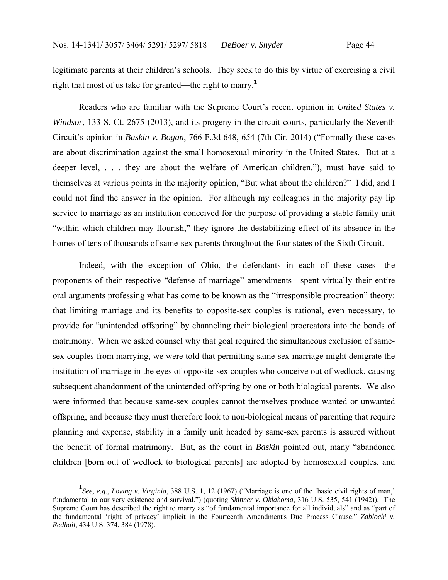legitimate parents at their children's schools. They seek to do this by virtue of exercising a civil right that most of us take for granted—the right to marry.**<sup>1</sup>**

Readers who are familiar with the Supreme Court's recent opinion in *United States v. Windsor*, 133 S. Ct. 2675 (2013), and its progeny in the circuit courts, particularly the Seventh Circuit's opinion in *Baskin v. Bogan*, 766 F.3d 648, 654 (7th Cir. 2014) ("Formally these cases are about discrimination against the small homosexual minority in the United States. But at a deeper level, . . . they are about the welfare of American children."), must have said to themselves at various points in the majority opinion, "But what about the children?" I did, and I could not find the answer in the opinion. For although my colleagues in the majority pay lip service to marriage as an institution conceived for the purpose of providing a stable family unit "within which children may flourish," they ignore the destabilizing effect of its absence in the homes of tens of thousands of same-sex parents throughout the four states of the Sixth Circuit.

Indeed, with the exception of Ohio, the defendants in each of these cases—the proponents of their respective "defense of marriage" amendments—spent virtually their entire oral arguments professing what has come to be known as the "irresponsible procreation" theory: that limiting marriage and its benefits to opposite-sex couples is rational, even necessary, to provide for "unintended offspring" by channeling their biological procreators into the bonds of matrimony. When we asked counsel why that goal required the simultaneous exclusion of samesex couples from marrying, we were told that permitting same-sex marriage might denigrate the institution of marriage in the eyes of opposite-sex couples who conceive out of wedlock, causing subsequent abandonment of the unintended offspring by one or both biological parents. We also were informed that because same-sex couples cannot themselves produce wanted or unwanted offspring, and because they must therefore look to non-biological means of parenting that require planning and expense, stability in a family unit headed by same-sex parents is assured without the benefit of formal matrimony. But, as the court in *Baskin* pointed out, many "abandoned children [born out of wedlock to biological parents] are adopted by homosexual couples, and

 $\frac{1}{1}$ *See, e.g.*, *Loving v. Virginia*, 388 U.S. 1, 12 (1967) ("Marriage is one of the 'basic civil rights of man,' fundamental to our very existence and survival.") (quoting *Skinner v. Oklahoma*, 316 U.S. 535, 541 (1942)). The Supreme Court has described the right to marry as "of fundamental importance for all individuals" and as "part of the fundamental 'right of privacy' implicit in the Fourteenth Amendment's Due Process Clause." *Zablocki v. Redhail*, 434 U.S. 374, 384 (1978).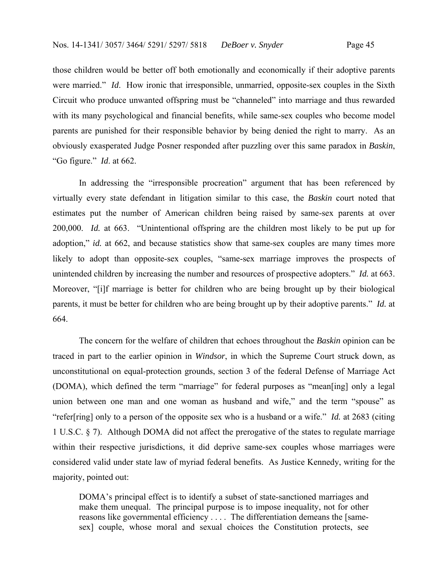those children would be better off both emotionally and economically if their adoptive parents were married." *Id*. How ironic that irresponsible, unmarried, opposite-sex couples in the Sixth Circuit who produce unwanted offspring must be "channeled" into marriage and thus rewarded with its many psychological and financial benefits, while same-sex couples who become model parents are punished for their responsible behavior by being denied the right to marry. As an obviously exasperated Judge Posner responded after puzzling over this same paradox in *Baskin*, "Go figure." *Id*. at 662.

In addressing the "irresponsible procreation" argument that has been referenced by virtually every state defendant in litigation similar to this case, the *Baskin* court noted that estimates put the number of American children being raised by same-sex parents at over 200,000. *Id.* at 663. "Unintentional offspring are the children most likely to be put up for adoption," *id.* at 662, and because statistics show that same-sex couples are many times more likely to adopt than opposite-sex couples, "same-sex marriage improves the prospects of unintended children by increasing the number and resources of prospective adopters." *Id.* at 663. Moreover, "[i]f marriage is better for children who are being brought up by their biological parents, it must be better for children who are being brought up by their adoptive parents." *Id.* at 664.

The concern for the welfare of children that echoes throughout the *Baskin* opinion can be traced in part to the earlier opinion in *Windsor*, in which the Supreme Court struck down, as unconstitutional on equal-protection grounds, section 3 of the federal Defense of Marriage Act (DOMA), which defined the term "marriage" for federal purposes as "mean[ing] only a legal union between one man and one woman as husband and wife," and the term "spouse" as "refer[ring] only to a person of the opposite sex who is a husband or a wife." *Id.* at 2683 (citing 1 U.S.C. § 7). Although DOMA did not affect the prerogative of the states to regulate marriage within their respective jurisdictions, it did deprive same-sex couples whose marriages were considered valid under state law of myriad federal benefits. As Justice Kennedy, writing for the majority, pointed out:

DOMA's principal effect is to identify a subset of state-sanctioned marriages and make them unequal. The principal purpose is to impose inequality, not for other reasons like governmental efficiency . . . . The differentiation demeans the [samesex] couple, whose moral and sexual choices the Constitution protects, see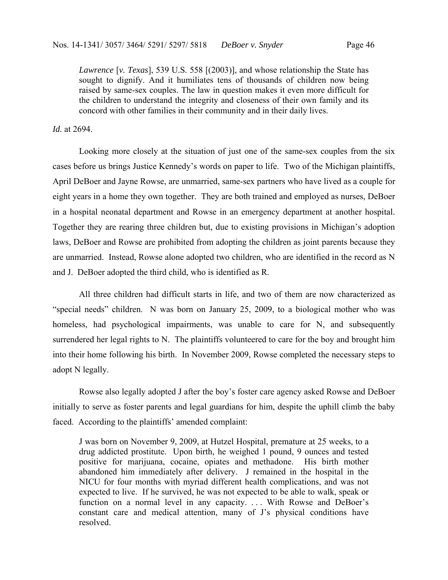*Lawrence* [*v. Texas*], 539 U.S. 558 [(2003)], and whose relationship the State has sought to dignify. And it humiliates tens of thousands of children now being raised by same-sex couples. The law in question makes it even more difficult for the children to understand the integrity and closeness of their own family and its concord with other families in their community and in their daily lives.

# *Id.* at 2694.

 Looking more closely at the situation of just one of the same-sex couples from the six cases before us brings Justice Kennedy's words on paper to life. Two of the Michigan plaintiffs, April DeBoer and Jayne Rowse, are unmarried, same-sex partners who have lived as a couple for eight years in a home they own together. They are both trained and employed as nurses, DeBoer in a hospital neonatal department and Rowse in an emergency department at another hospital. Together they are rearing three children but, due to existing provisions in Michigan's adoption laws, DeBoer and Rowse are prohibited from adopting the children as joint parents because they are unmarried. Instead, Rowse alone adopted two children, who are identified in the record as N and J. DeBoer adopted the third child, who is identified as R.

 All three children had difficult starts in life, and two of them are now characterized as "special needs" children. N was born on January 25, 2009, to a biological mother who was homeless, had psychological impairments, was unable to care for N, and subsequently surrendered her legal rights to N. The plaintiffs volunteered to care for the boy and brought him into their home following his birth. In November 2009, Rowse completed the necessary steps to adopt N legally.

 Rowse also legally adopted J after the boy's foster care agency asked Rowse and DeBoer initially to serve as foster parents and legal guardians for him, despite the uphill climb the baby faced. According to the plaintiffs' amended complaint:

J was born on November 9, 2009, at Hutzel Hospital, premature at 25 weeks, to a drug addicted prostitute. Upon birth, he weighed 1 pound, 9 ounces and tested positive for marijuana, cocaine, opiates and methadone. His birth mother abandoned him immediately after delivery. J remained in the hospital in the NICU for four months with myriad different health complications, and was not expected to live. If he survived, he was not expected to be able to walk, speak or function on a normal level in any capacity. ... With Rowse and DeBoer's constant care and medical attention, many of J's physical conditions have resolved.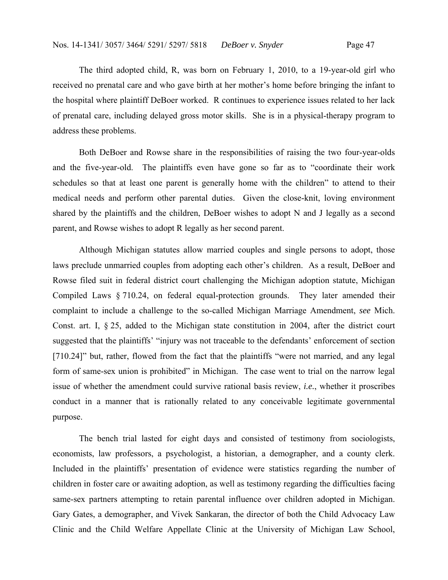The third adopted child, R, was born on February 1, 2010, to a 19-year-old girl who received no prenatal care and who gave birth at her mother's home before bringing the infant to the hospital where plaintiff DeBoer worked. R continues to experience issues related to her lack of prenatal care, including delayed gross motor skills. She is in a physical-therapy program to address these problems.

 Both DeBoer and Rowse share in the responsibilities of raising the two four-year-olds and the five-year-old. The plaintiffs even have gone so far as to "coordinate their work schedules so that at least one parent is generally home with the children" to attend to their medical needs and perform other parental duties. Given the close-knit, loving environment shared by the plaintiffs and the children, DeBoer wishes to adopt N and J legally as a second parent, and Rowse wishes to adopt R legally as her second parent.

Although Michigan statutes allow married couples and single persons to adopt, those laws preclude unmarried couples from adopting each other's children. As a result, DeBoer and Rowse filed suit in federal district court challenging the Michigan adoption statute, Michigan Compiled Laws § 710.24, on federal equal-protection grounds. They later amended their complaint to include a challenge to the so-called Michigan Marriage Amendment, *see* Mich. Const. art. I, § 25, added to the Michigan state constitution in 2004, after the district court suggested that the plaintiffs' "injury was not traceable to the defendants' enforcement of section [710.24]" but, rather, flowed from the fact that the plaintiffs "were not married, and any legal form of same-sex union is prohibited" in Michigan. The case went to trial on the narrow legal issue of whether the amendment could survive rational basis review, *i.e.*, whether it proscribes conduct in a manner that is rationally related to any conceivable legitimate governmental purpose.

 The bench trial lasted for eight days and consisted of testimony from sociologists, economists, law professors, a psychologist, a historian, a demographer, and a county clerk. Included in the plaintiffs' presentation of evidence were statistics regarding the number of children in foster care or awaiting adoption, as well as testimony regarding the difficulties facing same-sex partners attempting to retain parental influence over children adopted in Michigan. Gary Gates, a demographer, and Vivek Sankaran, the director of both the Child Advocacy Law Clinic and the Child Welfare Appellate Clinic at the University of Michigan Law School,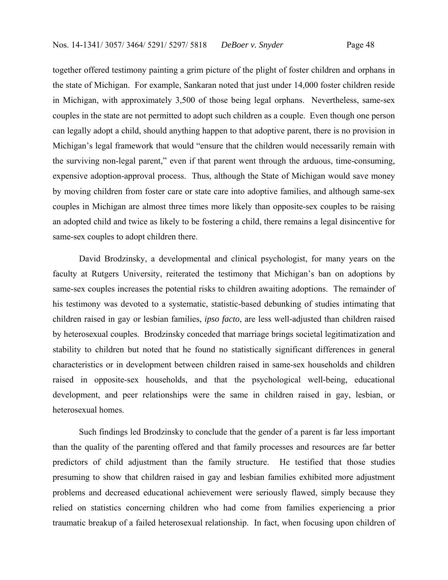together offered testimony painting a grim picture of the plight of foster children and orphans in the state of Michigan. For example, Sankaran noted that just under 14,000 foster children reside in Michigan, with approximately 3,500 of those being legal orphans. Nevertheless, same-sex couples in the state are not permitted to adopt such children as a couple. Even though one person can legally adopt a child, should anything happen to that adoptive parent, there is no provision in Michigan's legal framework that would "ensure that the children would necessarily remain with the surviving non-legal parent," even if that parent went through the arduous, time-consuming, expensive adoption-approval process. Thus, although the State of Michigan would save money by moving children from foster care or state care into adoptive families, and although same-sex couples in Michigan are almost three times more likely than opposite-sex couples to be raising an adopted child and twice as likely to be fostering a child, there remains a legal disincentive for same-sex couples to adopt children there.

 David Brodzinsky, a developmental and clinical psychologist, for many years on the faculty at Rutgers University, reiterated the testimony that Michigan's ban on adoptions by same-sex couples increases the potential risks to children awaiting adoptions. The remainder of his testimony was devoted to a systematic, statistic-based debunking of studies intimating that children raised in gay or lesbian families, *ipso facto*, are less well-adjusted than children raised by heterosexual couples. Brodzinsky conceded that marriage brings societal legitimatization and stability to children but noted that he found no statistically significant differences in general characteristics or in development between children raised in same-sex households and children raised in opposite-sex households, and that the psychological well-being, educational development, and peer relationships were the same in children raised in gay, lesbian, or heterosexual homes.

 Such findings led Brodzinsky to conclude that the gender of a parent is far less important than the quality of the parenting offered and that family processes and resources are far better predictors of child adjustment than the family structure. He testified that those studies presuming to show that children raised in gay and lesbian families exhibited more adjustment problems and decreased educational achievement were seriously flawed, simply because they relied on statistics concerning children who had come from families experiencing a prior traumatic breakup of a failed heterosexual relationship. In fact, when focusing upon children of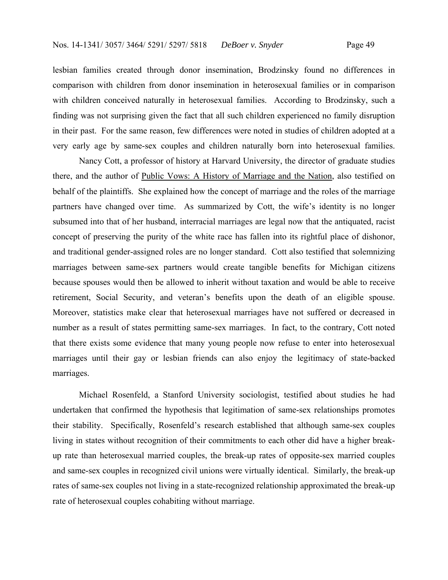lesbian families created through donor insemination, Brodzinsky found no differences in comparison with children from donor insemination in heterosexual families or in comparison with children conceived naturally in heterosexual families. According to Brodzinsky, such a finding was not surprising given the fact that all such children experienced no family disruption in their past. For the same reason, few differences were noted in studies of children adopted at a very early age by same-sex couples and children naturally born into heterosexual families.

 Nancy Cott, a professor of history at Harvard University, the director of graduate studies there, and the author of Public Vows: A History of Marriage and the Nation, also testified on behalf of the plaintiffs. She explained how the concept of marriage and the roles of the marriage partners have changed over time. As summarized by Cott, the wife's identity is no longer subsumed into that of her husband, interracial marriages are legal now that the antiquated, racist concept of preserving the purity of the white race has fallen into its rightful place of dishonor, and traditional gender-assigned roles are no longer standard. Cott also testified that solemnizing marriages between same-sex partners would create tangible benefits for Michigan citizens because spouses would then be allowed to inherit without taxation and would be able to receive retirement, Social Security, and veteran's benefits upon the death of an eligible spouse. Moreover, statistics make clear that heterosexual marriages have not suffered or decreased in number as a result of states permitting same-sex marriages. In fact, to the contrary, Cott noted that there exists some evidence that many young people now refuse to enter into heterosexual marriages until their gay or lesbian friends can also enjoy the legitimacy of state-backed marriages.

 Michael Rosenfeld, a Stanford University sociologist, testified about studies he had undertaken that confirmed the hypothesis that legitimation of same-sex relationships promotes their stability. Specifically, Rosenfeld's research established that although same-sex couples living in states without recognition of their commitments to each other did have a higher breakup rate than heterosexual married couples, the break-up rates of opposite-sex married couples and same-sex couples in recognized civil unions were virtually identical. Similarly, the break-up rates of same-sex couples not living in a state-recognized relationship approximated the break-up rate of heterosexual couples cohabiting without marriage.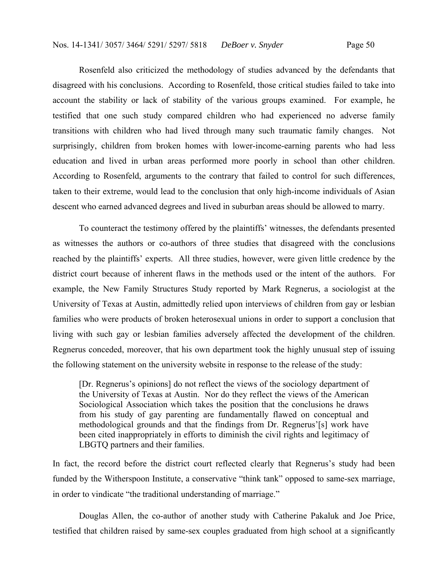Rosenfeld also criticized the methodology of studies advanced by the defendants that disagreed with his conclusions. According to Rosenfeld, those critical studies failed to take into account the stability or lack of stability of the various groups examined. For example, he testified that one such study compared children who had experienced no adverse family transitions with children who had lived through many such traumatic family changes. Not surprisingly, children from broken homes with lower-income-earning parents who had less education and lived in urban areas performed more poorly in school than other children. According to Rosenfeld, arguments to the contrary that failed to control for such differences, taken to their extreme, would lead to the conclusion that only high-income individuals of Asian descent who earned advanced degrees and lived in suburban areas should be allowed to marry.

 To counteract the testimony offered by the plaintiffs' witnesses, the defendants presented as witnesses the authors or co-authors of three studies that disagreed with the conclusions reached by the plaintiffs' experts. All three studies, however, were given little credence by the district court because of inherent flaws in the methods used or the intent of the authors. For example, the New Family Structures Study reported by Mark Regnerus, a sociologist at the University of Texas at Austin, admittedly relied upon interviews of children from gay or lesbian families who were products of broken heterosexual unions in order to support a conclusion that living with such gay or lesbian families adversely affected the development of the children. Regnerus conceded, moreover, that his own department took the highly unusual step of issuing the following statement on the university website in response to the release of the study:

[Dr. Regnerus's opinions] do not reflect the views of the sociology department of the University of Texas at Austin. Nor do they reflect the views of the American Sociological Association which takes the position that the conclusions he draws from his study of gay parenting are fundamentally flawed on conceptual and methodological grounds and that the findings from Dr. Regnerus'[s] work have been cited inappropriately in efforts to diminish the civil rights and legitimacy of LBGTQ partners and their families.

In fact, the record before the district court reflected clearly that Regnerus's study had been funded by the Witherspoon Institute, a conservative "think tank" opposed to same-sex marriage, in order to vindicate "the traditional understanding of marriage."

 Douglas Allen, the co-author of another study with Catherine Pakaluk and Joe Price, testified that children raised by same-sex couples graduated from high school at a significantly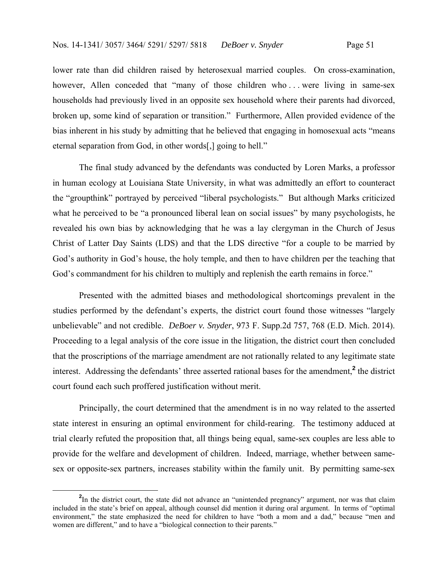lower rate than did children raised by heterosexual married couples. On cross-examination, however, Allen conceded that "many of those children who ... were living in same-sex households had previously lived in an opposite sex household where their parents had divorced, broken up, some kind of separation or transition." Furthermore, Allen provided evidence of the bias inherent in his study by admitting that he believed that engaging in homosexual acts "means eternal separation from God, in other words[,] going to hell."

 The final study advanced by the defendants was conducted by Loren Marks, a professor in human ecology at Louisiana State University, in what was admittedly an effort to counteract the "groupthink" portrayed by perceived "liberal psychologists." But although Marks criticized what he perceived to be "a pronounced liberal lean on social issues" by many psychologists, he revealed his own bias by acknowledging that he was a lay clergyman in the Church of Jesus Christ of Latter Day Saints (LDS) and that the LDS directive "for a couple to be married by God's authority in God's house, the holy temple, and then to have children per the teaching that God's commandment for his children to multiply and replenish the earth remains in force."

 Presented with the admitted biases and methodological shortcomings prevalent in the studies performed by the defendant's experts, the district court found those witnesses "largely unbelievable" and not credible. *DeBoer v. Snyder*, 973 F. Supp.2d 757, 768 (E.D. Mich. 2014). Proceeding to a legal analysis of the core issue in the litigation, the district court then concluded that the proscriptions of the marriage amendment are not rationally related to any legitimate state interest. Addressing the defendants' three asserted rational bases for the amendment,<sup>2</sup> the district court found each such proffered justification without merit.

 Principally, the court determined that the amendment is in no way related to the asserted state interest in ensuring an optimal environment for child-rearing. The testimony adduced at trial clearly refuted the proposition that, all things being equal, same-sex couples are less able to provide for the welfare and development of children. Indeed, marriage, whether between samesex or opposite-sex partners, increases stability within the family unit. By permitting same-sex

 $\overline{a}$ 

<sup>&</sup>lt;sup>2</sup>In the district court, the state did not advance an "unintended pregnancy" argument, nor was that claim included in the state's brief on appeal, although counsel did mention it during oral argument. In terms of "optimal environment," the state emphasized the need for children to have "both a mom and a dad," because "men and women are different," and to have a "biological connection to their parents."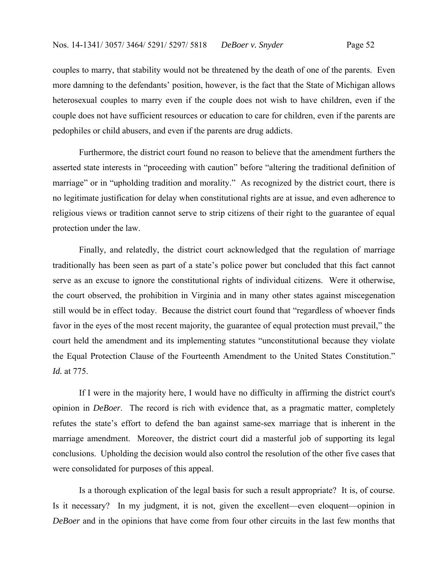couples to marry, that stability would not be threatened by the death of one of the parents. Even more damning to the defendants' position, however, is the fact that the State of Michigan allows heterosexual couples to marry even if the couple does not wish to have children, even if the couple does not have sufficient resources or education to care for children, even if the parents are pedophiles or child abusers, and even if the parents are drug addicts.

 Furthermore, the district court found no reason to believe that the amendment furthers the asserted state interests in "proceeding with caution" before "altering the traditional definition of marriage" or in "upholding tradition and morality." As recognized by the district court, there is no legitimate justification for delay when constitutional rights are at issue, and even adherence to religious views or tradition cannot serve to strip citizens of their right to the guarantee of equal protection under the law.

 Finally, and relatedly, the district court acknowledged that the regulation of marriage traditionally has been seen as part of a state's police power but concluded that this fact cannot serve as an excuse to ignore the constitutional rights of individual citizens. Were it otherwise, the court observed, the prohibition in Virginia and in many other states against miscegenation still would be in effect today. Because the district court found that "regardless of whoever finds favor in the eyes of the most recent majority, the guarantee of equal protection must prevail," the court held the amendment and its implementing statutes "unconstitutional because they violate the Equal Protection Clause of the Fourteenth Amendment to the United States Constitution." *Id.* at 775.

 If I were in the majority here, I would have no difficulty in affirming the district court's opinion in *DeBoer*. The record is rich with evidence that, as a pragmatic matter, completely refutes the state's effort to defend the ban against same-sex marriage that is inherent in the marriage amendment. Moreover, the district court did a masterful job of supporting its legal conclusions. Upholding the decision would also control the resolution of the other five cases that were consolidated for purposes of this appeal.

 Is a thorough explication of the legal basis for such a result appropriate? It is, of course. Is it necessary? In my judgment, it is not, given the excellent—even eloquent—opinion in *DeBoer* and in the opinions that have come from four other circuits in the last few months that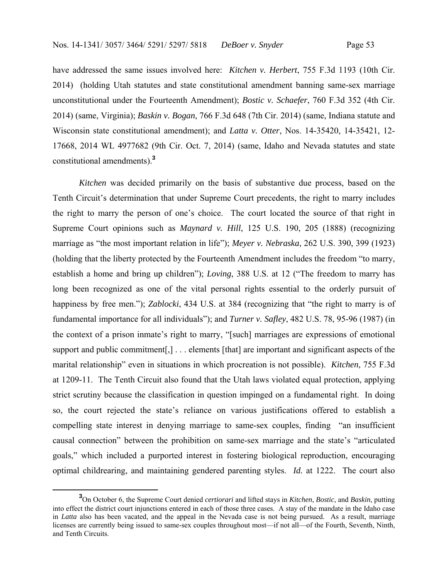have addressed the same issues involved here: *Kitchen v. Herbert*, 755 F.3d 1193 (10th Cir. 2014) (holding Utah statutes and state constitutional amendment banning same-sex marriage unconstitutional under the Fourteenth Amendment); *Bostic v. Schaefer*, 760 F.3d 352 (4th Cir. 2014) (same, Virginia); *Baskin v. Bogan*, 766 F.3d 648 (7th Cir. 2014) (same, Indiana statute and Wisconsin state constitutional amendment); and *Latta v. Otter*, Nos. 14-35420, 14-35421, 12- 17668, 2014 WL 4977682 (9th Cir. Oct. 7, 2014) (same, Idaho and Nevada statutes and state constitutional amendments).**<sup>3</sup>**

*Kitchen* was decided primarily on the basis of substantive due process, based on the Tenth Circuit's determination that under Supreme Court precedents, the right to marry includes the right to marry the person of one's choice. The court located the source of that right in Supreme Court opinions such as *Maynard v. Hill*, 125 U.S. 190, 205 (1888) (recognizing marriage as "the most important relation in life"); *Meyer v. Nebraska*, 262 U.S. 390, 399 (1923) (holding that the liberty protected by the Fourteenth Amendment includes the freedom "to marry, establish a home and bring up children"); *Loving*, 388 U.S. at 12 ("The freedom to marry has long been recognized as one of the vital personal rights essential to the orderly pursuit of happiness by free men."); *Zablocki*, 434 U.S. at 384 (recognizing that "the right to marry is of fundamental importance for all individuals"); and *Turner v. Safley*, 482 U.S. 78, 95-96 (1987) (in the context of a prison inmate's right to marry, "[such] marriages are expressions of emotional support and public commitment[,] . . . elements [that] are important and significant aspects of the marital relationship" even in situations in which procreation is not possible). *Kitchen*, 755 F.3d at 1209-11. The Tenth Circuit also found that the Utah laws violated equal protection, applying strict scrutiny because the classification in question impinged on a fundamental right. In doing so, the court rejected the state's reliance on various justifications offered to establish a compelling state interest in denying marriage to same-sex couples, finding "an insufficient causal connection" between the prohibition on same-sex marriage and the state's "articulated goals," which included a purported interest in fostering biological reproduction, encouraging optimal childrearing, and maintaining gendered parenting styles. *Id.* at 1222. The court also

**<sup>3</sup>** On October 6, the Supreme Court denied *certiorari* and lifted stays in *Kitchen*, *Bostic*, and *Baskin*, putting into effect the district court injunctions entered in each of those three cases. A stay of the mandate in the Idaho case in *Latta* also has been vacated, and the appeal in the Nevada case is not being pursued. As a result, marriage licenses are currently being issued to same-sex couples throughout most—if not all—of the Fourth, Seventh, Ninth, and Tenth Circuits.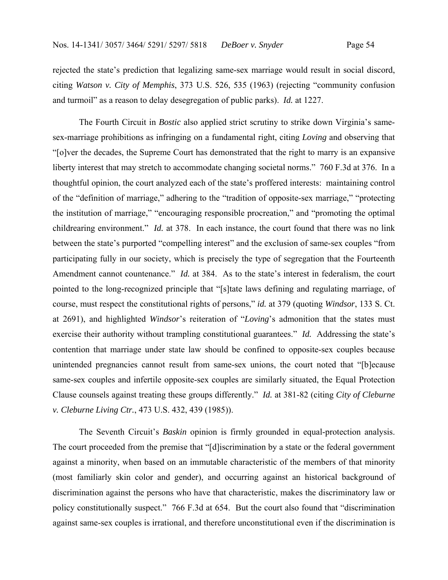rejected the state's prediction that legalizing same-sex marriage would result in social discord, citing *Watson v. City of Memphis*, 373 U.S. 526, 535 (1963) (rejecting "community confusion and turmoil" as a reason to delay desegregation of public parks). *Id.* at 1227.

The Fourth Circuit in *Bostic* also applied strict scrutiny to strike down Virginia's samesex-marriage prohibitions as infringing on a fundamental right, citing *Loving* and observing that "[o]ver the decades, the Supreme Court has demonstrated that the right to marry is an expansive liberty interest that may stretch to accommodate changing societal norms." 760 F.3d at 376. In a thoughtful opinion, the court analyzed each of the state's proffered interests: maintaining control of the "definition of marriage," adhering to the "tradition of opposite-sex marriage," "protecting the institution of marriage," "encouraging responsible procreation," and "promoting the optimal childrearing environment." *Id.* at 378. In each instance, the court found that there was no link between the state's purported "compelling interest" and the exclusion of same-sex couples "from participating fully in our society, which is precisely the type of segregation that the Fourteenth Amendment cannot countenance." *Id.* at 384. As to the state's interest in federalism, the court pointed to the long-recognized principle that "[s]tate laws defining and regulating marriage, of course, must respect the constitutional rights of persons," *id.* at 379 (quoting *Windsor*, 133 S. Ct. at 2691), and highlighted *Windsor*'s reiteration of "*Loving*'s admonition that the states must exercise their authority without trampling constitutional guarantees." *Id.* Addressing the state's contention that marriage under state law should be confined to opposite-sex couples because unintended pregnancies cannot result from same-sex unions, the court noted that "[b]ecause same-sex couples and infertile opposite-sex couples are similarly situated, the Equal Protection Clause counsels against treating these groups differently." *Id.* at 381-82 (citing *City of Cleburne v. Cleburne Living Ctr.*, 473 U.S. 432, 439 (1985)).

The Seventh Circuit's *Baskin* opinion is firmly grounded in equal-protection analysis. The court proceeded from the premise that "[d]iscrimination by a state or the federal government against a minority, when based on an immutable characteristic of the members of that minority (most familiarly skin color and gender), and occurring against an historical background of discrimination against the persons who have that characteristic, makes the discriminatory law or policy constitutionally suspect." 766 F.3d at 654. But the court also found that "discrimination against same-sex couples is irrational, and therefore unconstitutional even if the discrimination is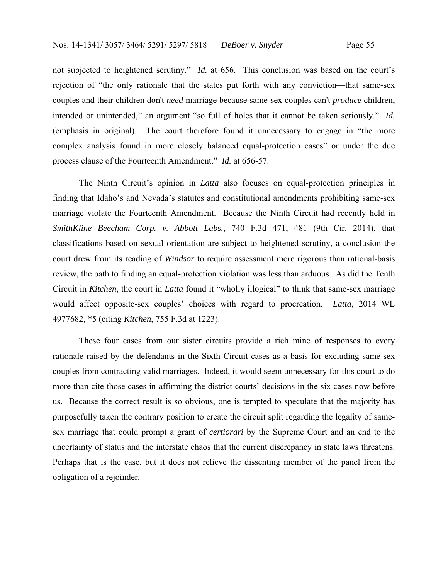not subjected to heightened scrutiny." *Id.* at 656. This conclusion was based on the court's rejection of "the only rationale that the states put forth with any conviction—that same-sex couples and their children don't *need* marriage because same-sex couples can't *produce* children, intended or unintended," an argument "so full of holes that it cannot be taken seriously." *Id.* (emphasis in original). The court therefore found it unnecessary to engage in "the more complex analysis found in more closely balanced equal-protection cases" or under the due process clause of the Fourteenth Amendment." *Id.* at 656-57.

The Ninth Circuit's opinion in *Latta* also focuses on equal-protection principles in finding that Idaho's and Nevada's statutes and constitutional amendments prohibiting same-sex marriage violate the Fourteenth Amendment. Because the Ninth Circuit had recently held in *SmithKline Beecham Corp. v. Abbott Labs.*, 740 F.3d 471, 481 (9th Cir. 2014), that classifications based on sexual orientation are subject to heightened scrutiny, a conclusion the court drew from its reading of *Windsor* to require assessment more rigorous than rational-basis review, the path to finding an equal-protection violation was less than arduous. As did the Tenth Circuit in *Kitchen*, the court in *Latta* found it "wholly illogical" to think that same-sex marriage would affect opposite-sex couples' choices with regard to procreation. *Latta*, 2014 WL 4977682, \*5 (citing *Kitchen*, 755 F.3d at 1223).

These four cases from our sister circuits provide a rich mine of responses to every rationale raised by the defendants in the Sixth Circuit cases as a basis for excluding same-sex couples from contracting valid marriages. Indeed, it would seem unnecessary for this court to do more than cite those cases in affirming the district courts' decisions in the six cases now before us. Because the correct result is so obvious, one is tempted to speculate that the majority has purposefully taken the contrary position to create the circuit split regarding the legality of samesex marriage that could prompt a grant of *certiorari* by the Supreme Court and an end to the uncertainty of status and the interstate chaos that the current discrepancy in state laws threatens. Perhaps that is the case, but it does not relieve the dissenting member of the panel from the obligation of a rejoinder.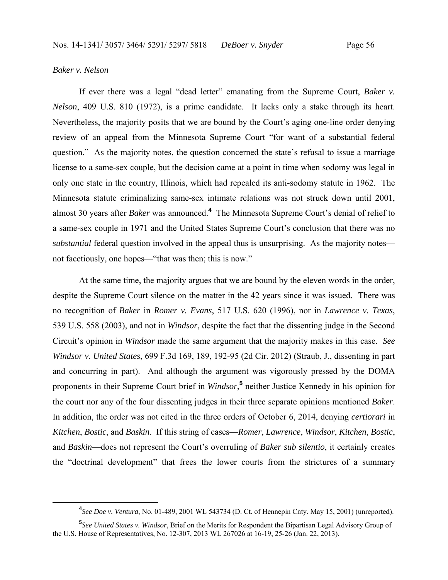# *Baker v. Nelson*

<u>.</u>

 If ever there was a legal "dead letter" emanating from the Supreme Court, *Baker v. Nelson*, 409 U.S. 810 (1972), is a prime candidate. It lacks only a stake through its heart. Nevertheless, the majority posits that we are bound by the Court's aging one-line order denying review of an appeal from the Minnesota Supreme Court "for want of a substantial federal question." As the majority notes, the question concerned the state's refusal to issue a marriage license to a same-sex couple, but the decision came at a point in time when sodomy was legal in only one state in the country, Illinois, which had repealed its anti-sodomy statute in 1962. The Minnesota statute criminalizing same-sex intimate relations was not struck down until 2001, almost 30 years after *Baker* was announced.**<sup>4</sup>** The Minnesota Supreme Court's denial of relief to a same-sex couple in 1971 and the United States Supreme Court's conclusion that there was no *substantial* federal question involved in the appeal thus is unsurprising. As the majority notes not facetiously, one hopes—"that was then; this is now."

At the same time, the majority argues that we are bound by the eleven words in the order, despite the Supreme Court silence on the matter in the 42 years since it was issued. There was no recognition of *Baker* in *Romer v. Evans*, 517 U.S. 620 (1996), nor in *Lawrence v. Texas*, 539 U.S. 558 (2003), and not in *Windsor*, despite the fact that the dissenting judge in the Second Circuit's opinion in *Windsor* made the same argument that the majority makes in this case. *See Windsor v. United States*, 699 F.3d 169, 189, 192-95 (2d Cir. 2012) (Straub, J., dissenting in part and concurring in part). And although the argument was vigorously pressed by the DOMA proponents in their Supreme Court brief in *Windsor*, **5** neither Justice Kennedy in his opinion for the court nor any of the four dissenting judges in their three separate opinions mentioned *Baker*. In addition, the order was not cited in the three orders of October 6, 2014, denying *certiorari* in *Kitchen*, *Bostic*, and *Baskin*. If this string of cases—*Romer*, *Lawrence*, *Windsor*, *Kitchen*, *Bostic*, and *Baskin*—does not represent the Court's overruling of *Baker sub silentio*, it certainly creates the "doctrinal development" that frees the lower courts from the strictures of a summary

**<sup>4</sup>** *See Doe v. Ventura*, No. 01-489, 2001 WL 543734 (D. Ct. of Hennepin Cnty. May 15, 2001) (unreported).

**<sup>5</sup>** *See United States v. Windsor*, Brief on the Merits for Respondent the Bipartisan Legal Advisory Group of the U.S. House of Representatives, No. 12-307, 2013 WL 267026 at 16-19, 25-26 (Jan. 22, 2013).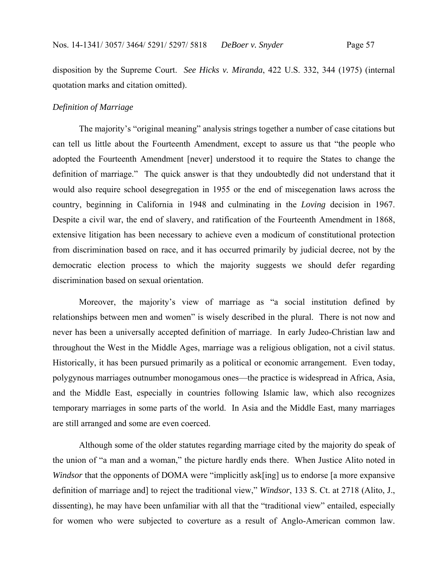disposition by the Supreme Court. *See Hicks v. Miranda*, 422 U.S. 332, 344 (1975) (internal quotation marks and citation omitted).

### *Definition of Marriage*

 The majority's "original meaning" analysis strings together a number of case citations but can tell us little about the Fourteenth Amendment, except to assure us that "the people who adopted the Fourteenth Amendment [never] understood it to require the States to change the definition of marriage." The quick answer is that they undoubtedly did not understand that it would also require school desegregation in 1955 or the end of miscegenation laws across the country, beginning in California in 1948 and culminating in the *Loving* decision in 1967. Despite a civil war, the end of slavery, and ratification of the Fourteenth Amendment in 1868, extensive litigation has been necessary to achieve even a modicum of constitutional protection from discrimination based on race, and it has occurred primarily by judicial decree, not by the democratic election process to which the majority suggests we should defer regarding discrimination based on sexual orientation.

 Moreover, the majority's view of marriage as "a social institution defined by relationships between men and women" is wisely described in the plural. There is not now and never has been a universally accepted definition of marriage. In early Judeo-Christian law and throughout the West in the Middle Ages, marriage was a religious obligation, not a civil status. Historically, it has been pursued primarily as a political or economic arrangement. Even today, polygynous marriages outnumber monogamous ones—the practice is widespread in Africa, Asia, and the Middle East, especially in countries following Islamic law, which also recognizes temporary marriages in some parts of the world. In Asia and the Middle East, many marriages are still arranged and some are even coerced.

Although some of the older statutes regarding marriage cited by the majority do speak of the union of "a man and a woman," the picture hardly ends there. When Justice Alito noted in *Windsor* that the opponents of DOMA were "implicitly ask[ing] us to endorse [a more expansive definition of marriage and] to reject the traditional view," *Windsor*, 133 S. Ct. at 2718 (Alito, J., dissenting), he may have been unfamiliar with all that the "traditional view" entailed, especially for women who were subjected to coverture as a result of Anglo-American common law.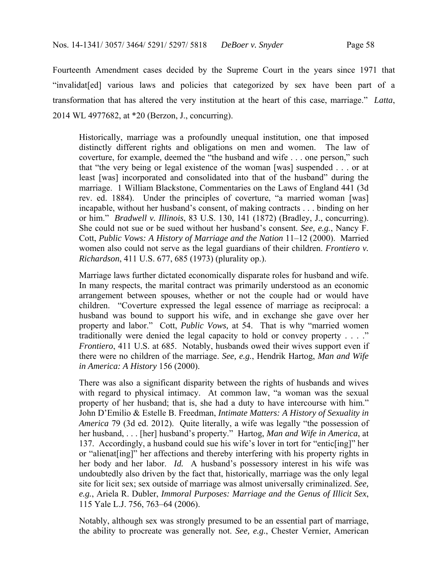Fourteenth Amendment cases decided by the Supreme Court in the years since 1971 that "invalidat[ed] various laws and policies that categorized by sex have been part of a transformation that has altered the very institution at the heart of this case, marriage." *Latta*, 2014 WL 4977682, at \*20 (Berzon, J., concurring).

Historically, marriage was a profoundly unequal institution, one that imposed distinctly different rights and obligations on men and women. The law of coverture, for example, deemed the "the husband and wife . . . one person," such that "the very being or legal existence of the woman [was] suspended . . . or at least [was] incorporated and consolidated into that of the husband" during the marriage. 1 William Blackstone, Commentaries on the Laws of England 441 (3d rev. ed. 1884). Under the principles of coverture, "a married woman [was] incapable, without her husband's consent, of making contracts . . . binding on her or him." *Bradwell v. Illinois*, 83 U.S. 130, 141 (1872) (Bradley, J., concurring). She could not sue or be sued without her husband's consent. *See, e.g.*, Nancy F. Cott, *Public Vows: A History of Marriage and the Nation* 11–12 (2000). Married women also could not serve as the legal guardians of their children. *Frontiero v. Richardson*, 411 U.S. 677, 685 (1973) (plurality op.).

Marriage laws further dictated economically disparate roles for husband and wife. In many respects, the marital contract was primarily understood as an economic arrangement between spouses, whether or not the couple had or would have children. "Coverture expressed the legal essence of marriage as reciprocal: a husband was bound to support his wife, and in exchange she gave over her property and labor." Cott, *Public Vows,* at 54. That is why "married women traditionally were denied the legal capacity to hold or convey property  $\dots$ ." *Frontiero*, 411 U.S. at 685. Notably, husbands owed their wives support even if there were no children of the marriage. *See, e.g.*, Hendrik Hartog, *Man and Wife in America: A History* 156 (2000).

There was also a significant disparity between the rights of husbands and wives with regard to physical intimacy. At common law, "a woman was the sexual property of her husband; that is, she had a duty to have intercourse with him." John D'Emilio & Estelle B. Freedman, *Intimate Matters: A History of Sexuality in America* 79 (3d ed. 2012). Quite literally, a wife was legally "the possession of her husband, . . . [her] husband's property." Hartog, *Man and Wife in America*, at 137. Accordingly, a husband could sue his wife's lover in tort for "entic[ing]" her or "alienat[ing]" her affections and thereby interfering with his property rights in her body and her labor. *Id.* A husband's possessory interest in his wife was undoubtedly also driven by the fact that, historically, marriage was the only legal site for licit sex; sex outside of marriage was almost universally criminalized. *See, e.g.*, Ariela R. Dubler, *Immoral Purposes: Marriage and the Genus of Illicit Sex*, 115 Yale L.J. 756, 763–64 (2006).

Notably, although sex was strongly presumed to be an essential part of marriage, the ability to procreate was generally not. *See, e.g.*, Chester Vernier, American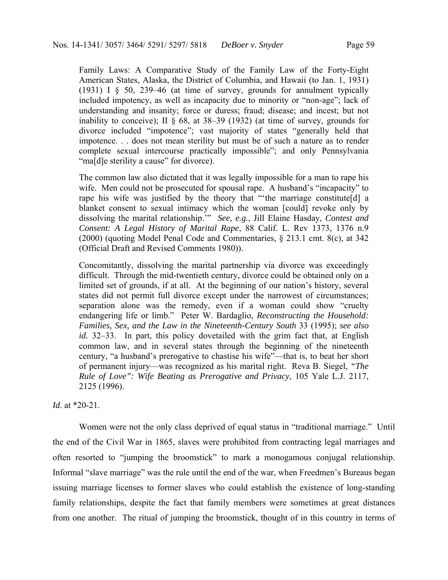Family Laws: A Comparative Study of the Family Law of the Forty-Eight American States, Alaska, the District of Columbia, and Hawaii (to Jan. 1, 1931) (1931) I § 50, 239–46 (at time of survey, grounds for annulment typically included impotency, as well as incapacity due to minority or "non-age"; lack of understanding and insanity; force or duress; fraud; disease; and incest; but not inability to conceive); II § 68, at 38–39 (1932) (at time of survey, grounds for divorce included "impotence"; vast majority of states "generally held that impotence. . . does not mean sterility but must be of such a nature as to render complete sexual intercourse practically impossible"; and only Pennsylvania "ma[d]e sterility a cause" for divorce).

The common law also dictated that it was legally impossible for a man to rape his wife. Men could not be prosecuted for spousal rape. A husband's "incapacity" to rape his wife was justified by the theory that "'the marriage constitute[d] a blanket consent to sexual intimacy which the woman [could] revoke only by dissolving the marital relationship.'" *See, e.g.*, Jill Elaine Hasday, *Contest and Consent: A Legal History of Marital Rape*, 88 Calif. L. Rev 1373, 1376 n.9 (2000) (quoting Model Penal Code and Commentaries, § 213.1 cmt. 8(c), at 342 (Official Draft and Revised Comments 1980)).

Concomitantly, dissolving the marital partnership via divorce was exceedingly difficult. Through the mid-twentieth century, divorce could be obtained only on a limited set of grounds, if at all. At the beginning of our nation's history, several states did not permit full divorce except under the narrowest of circumstances; separation alone was the remedy, even if a woman could show "cruelty endangering life or limb." Peter W. Bardaglio, *Reconstructing the Household: Families, Sex, and the Law in the Nineteenth-Century South* 33 (1995); *see also id.* 32–33. In part, this policy dovetailed with the grim fact that, at English common law, and in several states through the beginning of the nineteenth century, "a husband's prerogative to chastise his wife"—that is, to beat her short of permanent injury—was recognized as his marital right. Reva B. Siegel, *"The Rule of Love": Wife Beating as Prerogative and Privacy*, 105 Yale L.J. 2117, 2125 (1996).

*Id.* at \*20-21.

Women were not the only class deprived of equal status in "traditional marriage." Until the end of the Civil War in 1865, slaves were prohibited from contracting legal marriages and often resorted to "jumping the broomstick" to mark a monogamous conjugal relationship. Informal "slave marriage" was the rule until the end of the war, when Freedmen's Bureaus began issuing marriage licenses to former slaves who could establish the existence of long-standing family relationships, despite the fact that family members were sometimes at great distances from one another. The ritual of jumping the broomstick, thought of in this country in terms of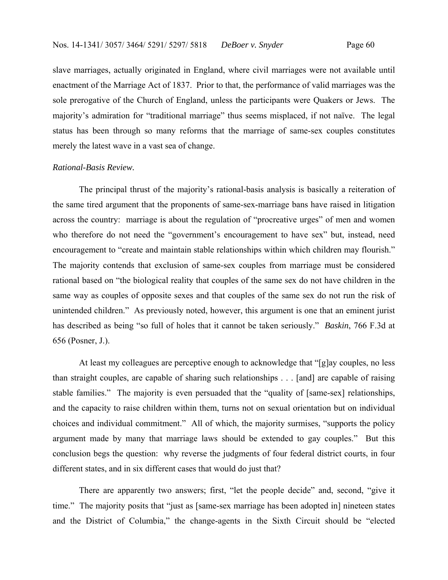slave marriages, actually originated in England, where civil marriages were not available until enactment of the Marriage Act of 1837. Prior to that, the performance of valid marriages was the sole prerogative of the Church of England, unless the participants were Quakers or Jews. The majority's admiration for "traditional marriage" thus seems misplaced, if not naïve. The legal status has been through so many reforms that the marriage of same-sex couples constitutes merely the latest wave in a vast sea of change.

### *Rational-Basis Review.*

 The principal thrust of the majority's rational-basis analysis is basically a reiteration of the same tired argument that the proponents of same-sex-marriage bans have raised in litigation across the country: marriage is about the regulation of "procreative urges" of men and women who therefore do not need the "government's encouragement to have sex" but, instead, need encouragement to "create and maintain stable relationships within which children may flourish." The majority contends that exclusion of same-sex couples from marriage must be considered rational based on "the biological reality that couples of the same sex do not have children in the same way as couples of opposite sexes and that couples of the same sex do not run the risk of unintended children." As previously noted, however, this argument is one that an eminent jurist has described as being "so full of holes that it cannot be taken seriously." *Baskin*, 766 F.3d at 656 (Posner, J.).

At least my colleagues are perceptive enough to acknowledge that "[g]ay couples, no less than straight couples, are capable of sharing such relationships . . . [and] are capable of raising stable families." The majority is even persuaded that the "quality of [same-sex] relationships, and the capacity to raise children within them, turns not on sexual orientation but on individual choices and individual commitment." All of which, the majority surmises, "supports the policy argument made by many that marriage laws should be extended to gay couples." But this conclusion begs the question: why reverse the judgments of four federal district courts, in four different states, and in six different cases that would do just that?

 There are apparently two answers; first, "let the people decide" and, second, "give it time." The majority posits that "just as [same-sex marriage has been adopted in] nineteen states and the District of Columbia," the change-agents in the Sixth Circuit should be "elected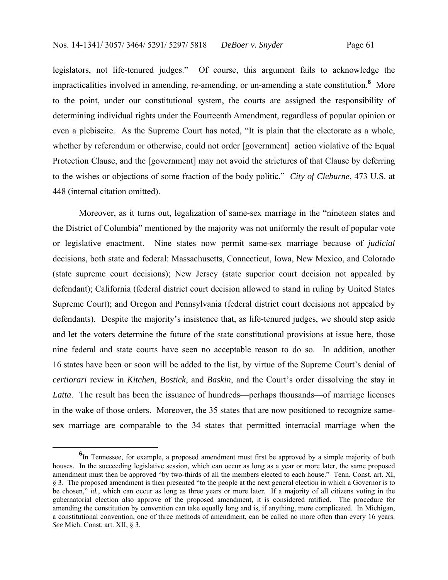legislators, not life-tenured judges." Of course, this argument fails to acknowledge the impracticalities involved in amending, re-amending, or un-amending a state constitution.**<sup>6</sup>** More to the point, under our constitutional system, the courts are assigned the responsibility of determining individual rights under the Fourteenth Amendment, regardless of popular opinion or even a plebiscite. As the Supreme Court has noted, "It is plain that the electorate as a whole, whether by referendum or otherwise, could not order [government] action violative of the Equal Protection Clause, and the [government] may not avoid the strictures of that Clause by deferring to the wishes or objections of some fraction of the body politic." *City of Cleburne*, 473 U.S. at 448 (internal citation omitted).

 Moreover, as it turns out, legalization of same-sex marriage in the "nineteen states and the District of Columbia" mentioned by the majority was not uniformly the result of popular vote or legislative enactment. Nine states now permit same-sex marriage because of *judicial* decisions, both state and federal: Massachusetts, Connecticut, Iowa, New Mexico, and Colorado (state supreme court decisions); New Jersey (state superior court decision not appealed by defendant); California (federal district court decision allowed to stand in ruling by United States Supreme Court); and Oregon and Pennsylvania (federal district court decisions not appealed by defendants). Despite the majority's insistence that, as life-tenured judges, we should step aside and let the voters determine the future of the state constitutional provisions at issue here, those nine federal and state courts have seen no acceptable reason to do so. In addition, another 16 states have been or soon will be added to the list, by virtue of the Supreme Court's denial of *certiorari* review in *Kitchen*, *Bostick*, and *Baskin*, and the Court's order dissolving the stay in *Latta*. The result has been the issuance of hundreds—perhaps thousands—of marriage licenses in the wake of those orders. Moreover, the 35 states that are now positioned to recognize samesex marriage are comparable to the 34 states that permitted interracial marriage when the

**<sup>6</sup>** <sup>6</sup>In Tennessee, for example, a proposed amendment must first be approved by a simple majority of both houses. In the succeeding legislative session, which can occur as long as a year or more later, the same proposed amendment must then be approved "by two-thirds of all the members elected to each house." Tenn. Const. art. XI, § 3. The proposed amendment is then presented "to the people at the next general election in which a Governor is to be chosen," *id.*, which can occur as long as three years or more later. If a majority of all citizens voting in the gubernatorial election also approve of the proposed amendment, it is considered ratified. The procedure for amending the constitution by convention can take equally long and is, if anything, more complicated. In Michigan, a constitutional convention, one of three methods of amendment, can be called no more often than every 16 years. *See* Mich. Const. art. XII, § 3.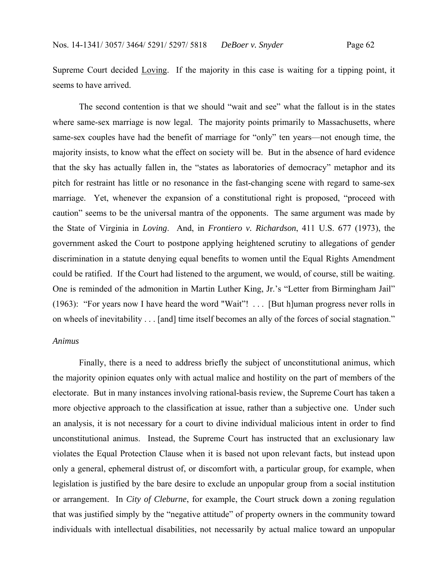Supreme Court decided Loving. If the majority in this case is waiting for a tipping point, it seems to have arrived.

 The second contention is that we should "wait and see" what the fallout is in the states where same-sex marriage is now legal. The majority points primarily to Massachusetts, where same-sex couples have had the benefit of marriage for "only" ten years—not enough time, the majority insists, to know what the effect on society will be. But in the absence of hard evidence that the sky has actually fallen in, the "states as laboratories of democracy" metaphor and its pitch for restraint has little or no resonance in the fast-changing scene with regard to same-sex marriage. Yet, whenever the expansion of a constitutional right is proposed, "proceed with caution" seems to be the universal mantra of the opponents. The same argument was made by the State of Virginia in *Loving*. And, in *Frontiero v. Richardson*, 411 U.S. 677 (1973), the government asked the Court to postpone applying heightened scrutiny to allegations of gender discrimination in a statute denying equal benefits to women until the Equal Rights Amendment could be ratified. If the Court had listened to the argument, we would, of course, still be waiting. One is reminded of the admonition in Martin Luther King, Jr.'s "Letter from Birmingham Jail" (1963): "For years now I have heard the word "Wait"! . . . [But h]uman progress never rolls in on wheels of inevitability . . . [and] time itself becomes an ally of the forces of social stagnation."

### *Animus*

 Finally, there is a need to address briefly the subject of unconstitutional animus, which the majority opinion equates only with actual malice and hostility on the part of members of the electorate. But in many instances involving rational-basis review, the Supreme Court has taken a more objective approach to the classification at issue, rather than a subjective one. Under such an analysis, it is not necessary for a court to divine individual malicious intent in order to find unconstitutional animus. Instead, the Supreme Court has instructed that an exclusionary law violates the Equal Protection Clause when it is based not upon relevant facts, but instead upon only a general, ephemeral distrust of, or discomfort with, a particular group, for example, when legislation is justified by the bare desire to exclude an unpopular group from a social institution or arrangement. In *City of Cleburne*, for example, the Court struck down a zoning regulation that was justified simply by the "negative attitude" of property owners in the community toward individuals with intellectual disabilities, not necessarily by actual malice toward an unpopular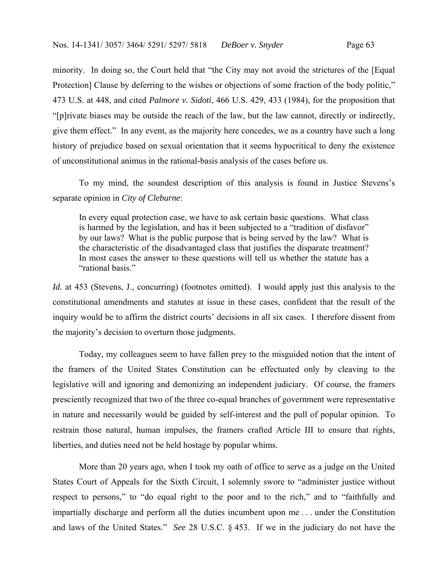minority. In doing so, the Court held that "the City may not avoid the strictures of the [Equal Protection] Clause by deferring to the wishes or objections of some fraction of the body politic," 473 U.S. at 448, and cited *Palmore v. Sidoti*, 466 U.S. 429, 433 (1984), for the proposition that "[p]rivate biases may be outside the reach of the law, but the law cannot, directly or indirectly, give them effect." In any event, as the majority here concedes, we as a country have such a long history of prejudice based on sexual orientation that it seems hypocritical to deny the existence of unconstitutional animus in the rational-basis analysis of the cases before us.

To my mind, the soundest description of this analysis is found in Justice Stevens's separate opinion in *City of Cleburne*:

In every equal protection case, we have to ask certain basic questions. What class is harmed by the legislation, and has it been subjected to a "tradition of disfavor" by our laws? What is the public purpose that is being served by the law? What is the characteristic of the disadvantaged class that justifies the disparate treatment? In most cases the answer to these questions will tell us whether the statute has a "rational basis."

*Id.* at 453 (Stevens, J., concurring) (footnotes omitted). I would apply just this analysis to the constitutional amendments and statutes at issue in these cases, confident that the result of the inquiry would be to affirm the district courts' decisions in all six cases. I therefore dissent from the majority's decision to overturn those judgments.

 Today, my colleagues seem to have fallen prey to the misguided notion that the intent of the framers of the United States Constitution can be effectuated only by cleaving to the legislative will and ignoring and demonizing an independent judiciary. Of course, the framers presciently recognized that two of the three co-equal branches of government were representative in nature and necessarily would be guided by self-interest and the pull of popular opinion. To restrain those natural, human impulses, the framers crafted Article III to ensure that rights, liberties, and duties need not be held hostage by popular whims.

 More than 20 years ago, when I took my oath of office to serve as a judge on the United States Court of Appeals for the Sixth Circuit, I solemnly swore to "administer justice without respect to persons," to "do equal right to the poor and to the rich," and to "faithfully and impartially discharge and perform all the duties incumbent upon me . . . under the Constitution and laws of the United States." *See* 28 U.S.C. § 453. If we in the judiciary do not have the